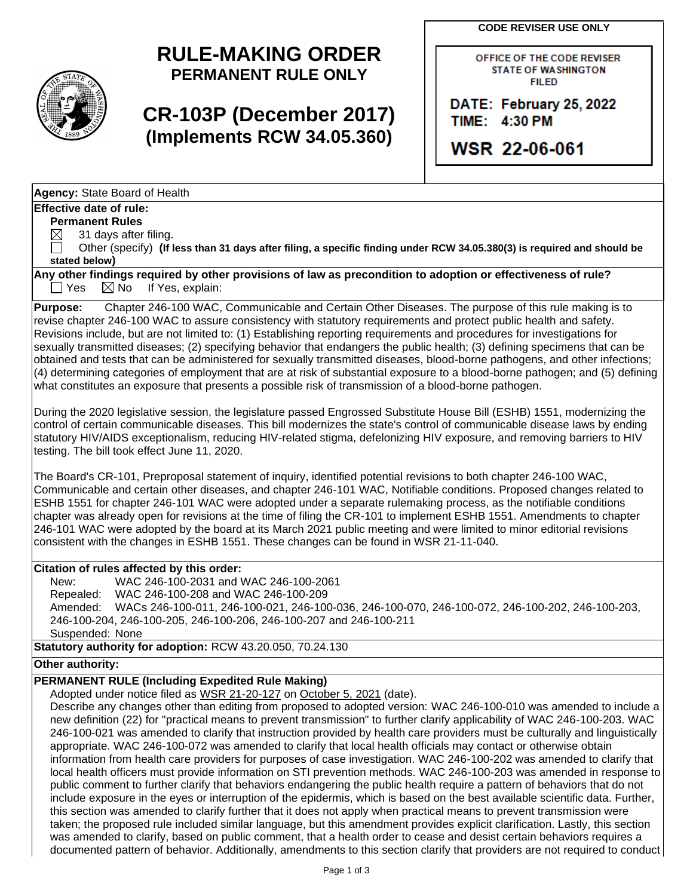**CODE REVISER USE ONLY**



# **RULE-MAKING ORDER PERMANENT RULE ONLY**

# **CR-103P (December 2017) (Implements RCW 34.05.360)**

OFFICE OF THE CODE REVISER **STATE OF WASHINGTON FILED** 

DATE: February 25, 2022 TIME: 4:30 PM

WSR 22-06-061

**Agency:** State Board of Health

## **Effective date of rule:**

**Permanent Rules**

 $\boxtimes$  31 days after filing.

 Other (specify) **(If less than 31 days after filing, a specific finding under RCW 34.05.380(3) is required and should be stated below)**

**Any other findings required by other provisions of law as precondition to adoption or effectiveness of rule?**  $\Box$  Yes  $\boxtimes$  No If Yes, explain:

**Purpose:** Chapter 246-100 WAC, Communicable and Certain Other Diseases. The purpose of this rule making is to revise chapter 246-100 WAC to assure consistency with statutory requirements and protect public health and safety. Revisions include, but are not limited to: (1) Establishing reporting requirements and procedures for investigations for sexually transmitted diseases; (2) specifying behavior that endangers the public health; (3) defining specimens that can be obtained and tests that can be administered for sexually transmitted diseases, blood-borne pathogens, and other infections; (4) determining categories of employment that are at risk of substantial exposure to a blood-borne pathogen; and (5) defining what constitutes an exposure that presents a possible risk of transmission of a blood-borne pathogen.

During the 2020 legislative session, the legislature passed Engrossed Substitute House Bill (ESHB) 1551, modernizing the control of certain communicable diseases. This bill modernizes the state's control of communicable disease laws by ending statutory HIV/AIDS exceptionalism, reducing HIV-related stigma, defelonizing HIV exposure, and removing barriers to HIV testing. The bill took effect June 11, 2020.

The Board's CR-101, Preproposal statement of inquiry, identified potential revisions to both chapter 246-100 WAC, Communicable and certain other diseases, and chapter 246-101 WAC, Notifiable conditions. Proposed changes related to ESHB 1551 for chapter 246-101 WAC were adopted under a separate rulemaking process, as the notifiable conditions chapter was already open for revisions at the time of filing the CR-101 to implement ESHB 1551. Amendments to chapter 246-101 WAC were adopted by the board at its March 2021 public meeting and were limited to minor editorial revisions consistent with the changes in ESHB 1551. These changes can be found in WSR 21-11-040.

## **Citation of rules affected by this order:**

New: WAC 246-100-2031 and WAC 246-100-2061 Repealed: WAC 246-100-208 and WAC 246-100-209 Amended: WACs 246-100-011, 246-100-021, 246-100-036, 246-100-070, 246-100-072, 246-100-202, 246-100-203, 246-100-204, 246-100-205, 246-100-206, 246-100-207 and 246-100-211 Suspended: None

**Statutory authority for adoption:** RCW 43.20.050, 70.24.130

## **Other authority:**

# **PERMANENT RULE (Including Expedited Rule Making)**

Adopted under notice filed as WSR 21-20-127 on October 5, 2021 (date).

Describe any changes other than editing from proposed to adopted version: WAC 246-100-010 was amended to include a new definition (22) for "practical means to prevent transmission" to further clarify applicability of WAC 246-100-203. WAC 246-100-021 was amended to clarify that instruction provided by health care providers must be culturally and linguistically appropriate. WAC 246-100-072 was amended to clarify that local health officials may contact or otherwise obtain information from health care providers for purposes of case investigation. WAC 246-100-202 was amended to clarify that local health officers must provide information on STI prevention methods. WAC 246-100-203 was amended in response to public comment to further clarify that behaviors endangering the public health require a pattern of behaviors that do not include exposure in the eyes or interruption of the epidermis, which is based on the best available scientific data. Further, this section was amended to clarify further that it does not apply when practical means to prevent transmission were taken; the proposed rule included similar language, but this amendment provides explicit clarification. Lastly, this section was amended to clarify, based on public comment, that a health order to cease and desist certain behaviors requires a documented pattern of behavior. Additionally, amendments to this section clarify that providers are not required to conduct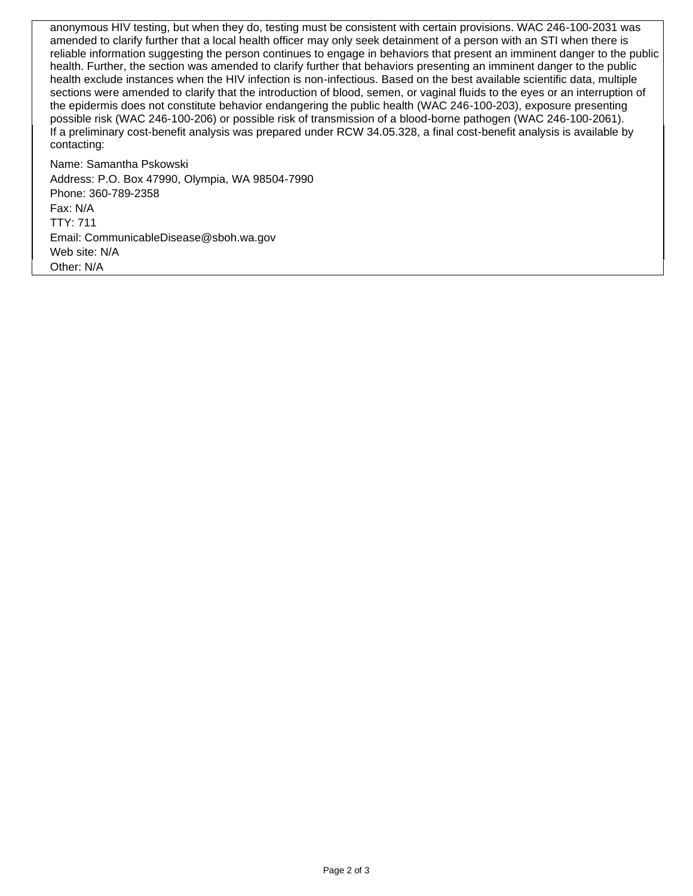anonymous HIV testing, but when they do, testing must be consistent with certain provisions. WAC 246-100-2031 was amended to clarify further that a local health officer may only seek detainment of a person with an STI when there is reliable information suggesting the person continues to engage in behaviors that present an imminent danger to the public health. Further, the section was amended to clarify further that behaviors presenting an imminent danger to the public health exclude instances when the HIV infection is non-infectious. Based on the best available scientific data, multiple sections were amended to clarify that the introduction of blood, semen, or vaginal fluids to the eyes or an interruption of the epidermis does not constitute behavior endangering the public health (WAC 246-100-203), exposure presenting possible risk (WAC 246-100-206) or possible risk of transmission of a blood-borne pathogen (WAC 246-100-2061). If a preliminary cost-benefit analysis was prepared under RCW 34.05.328, a final cost-benefit analysis is available by contacting:

Name: Samantha Pskowski Address: P.O. Box 47990, Olympia, WA 98504-7990 Phone: 360-789-2358 Fax: N/A TTY: 711 Email: CommunicableDisease@sboh.wa.gov Web site: N/A Other: N/A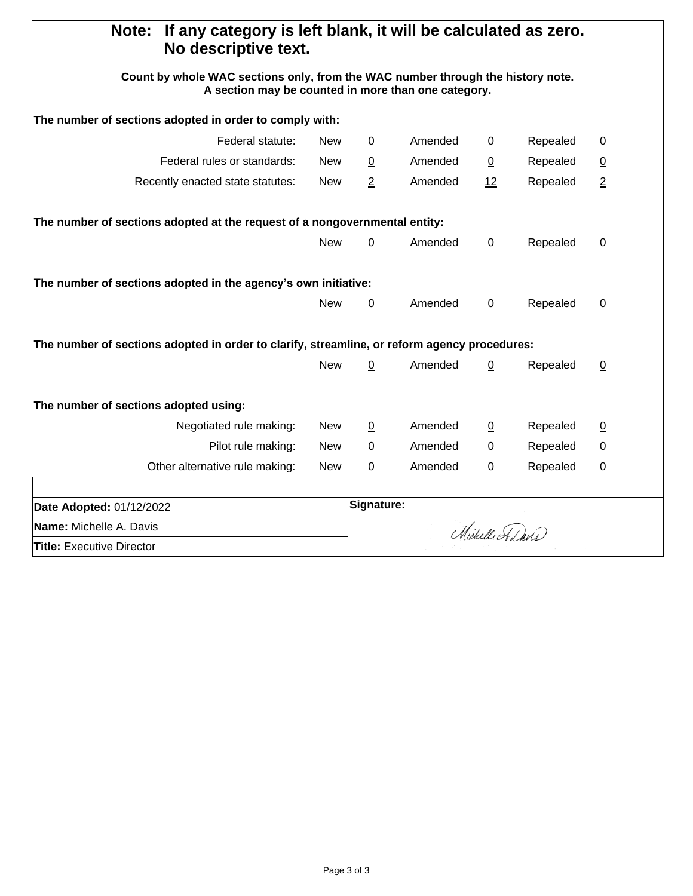| If any category is left blank, it will be calculated as zero.<br>Note:<br>No descriptive text.                                         |            |                |                 |                |          |                 |
|----------------------------------------------------------------------------------------------------------------------------------------|------------|----------------|-----------------|----------------|----------|-----------------|
| Count by whole WAC sections only, from the WAC number through the history note.<br>A section may be counted in more than one category. |            |                |                 |                |          |                 |
| The number of sections adopted in order to comply with:                                                                                |            |                |                 |                |          |                 |
| Federal statute:                                                                                                                       | <b>New</b> | $\overline{0}$ | Amended         | $\overline{0}$ | Repealed | $\overline{0}$  |
| Federal rules or standards:                                                                                                            | <b>New</b> | $\overline{0}$ | Amended         | $\overline{0}$ | Repealed | $\overline{0}$  |
| Recently enacted state statutes:                                                                                                       | <b>New</b> | $\overline{2}$ | Amended         | 12             | Repealed | $\overline{2}$  |
| The number of sections adopted at the request of a nongovernmental entity:                                                             |            |                |                 |                |          |                 |
|                                                                                                                                        | <b>New</b> | 0              | Amended         | 0              | Repealed | $\overline{0}$  |
| The number of sections adopted in the agency's own initiative:                                                                         |            |                |                 |                |          |                 |
|                                                                                                                                        | <b>New</b> | $\overline{0}$ | Amended         | $\mathbf 0$    | Repealed | $\underline{0}$ |
| The number of sections adopted in order to clarify, streamline, or reform agency procedures:                                           |            |                |                 |                |          |                 |
|                                                                                                                                        | <b>New</b> | $\mathbf 0$    | Amended         | $\mathbf 0$    | Repealed | $\underline{0}$ |
| The number of sections adopted using:                                                                                                  |            |                |                 |                |          |                 |
| Negotiated rule making:                                                                                                                | New        | $\overline{0}$ | Amended         | $\overline{0}$ | Repealed | $\overline{0}$  |
| Pilot rule making:                                                                                                                     | <b>New</b> | $\overline{0}$ | Amended         | $\overline{0}$ | Repealed | $\overline{0}$  |
| Other alternative rule making:                                                                                                         | <b>New</b> | 0              | Amended         | $\pmb{0}$      | Repealed | $\overline{0}$  |
| Date Adopted: 01/12/2022                                                                                                               |            | Signature:     |                 |                |          |                 |
| Name: Michelle A. Davis                                                                                                                |            |                | Michelle Adavis |                |          |                 |
| <b>Title: Executive Director</b>                                                                                                       |            |                |                 |                |          |                 |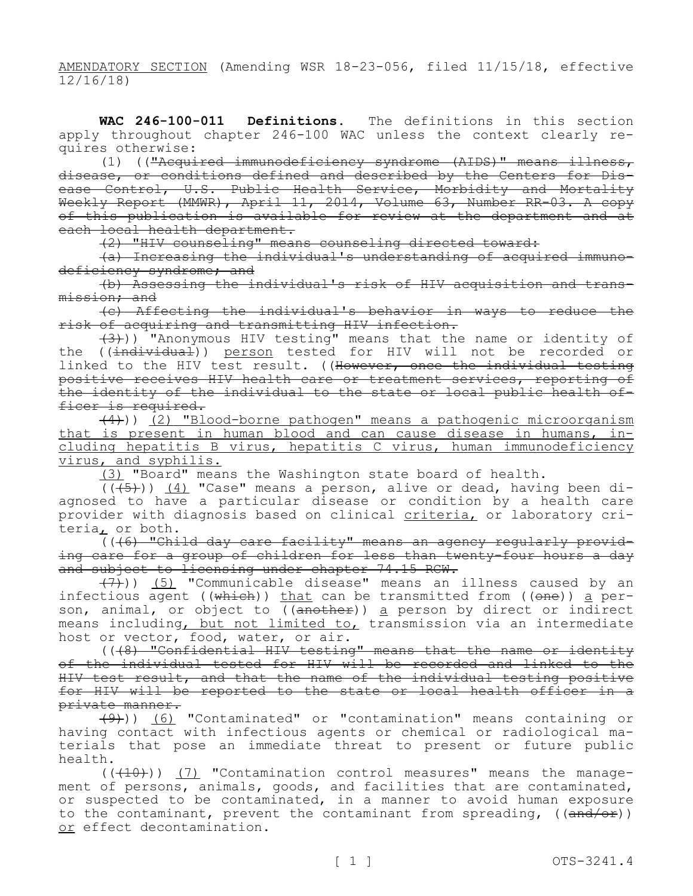AMENDATORY SECTION (Amending WSR 18-23-056, filed 11/15/18, effective 12/16/18)

**WAC 246-100-011 Definitions.** The definitions in this section apply throughout chapter 246-100 WAC unless the context clearly requires otherwise:

(1) (("Acquired immunodeficiency syndrome (AIDS)" means illness, disease, or conditions defined and described by the Centers for Disease Control, U.S. Public Health Service, Morbidity and Mortality Weekly Report (MMWR), April 11, 2014, Volume 63, Number RR-03. A copy of this publication is available for review at the department and at each local health department.

(2) "HIV counseling" means counseling directed toward:

(a) Increasing the individual's understanding of acquired immunodeficiency syndrome; and

(b) Assessing the individual's risk of HIV acquisition and transmission; and

(c) Affecting the individual's behavior in ways to reduce the risk of acquiring and transmitting HIV infection.

(3))) "Anonymous HIV testing" means that the name or identity of the ((<del>individual</del>)) <u>person</u> tested for HIV will not be recorded or linked to the HIV test result. ((However, once the individual testing positive receives HIV health care or treatment services, reporting of the identity of the individual to the state or local public health officer is required.

 $(4)$ )) (2) "Blood-borne pathogen" means a pathogenic microorganism that is present in human blood and can cause disease in humans, including hepatitis B virus, hepatitis C virus, human immunodeficiency virus, and syphilis.

(3) "Board" means the Washington state board of health.

 $((+5))$   $(4)$  "Case" means a person, alive or dead, having been diagnosed to have a particular disease or condition by a health care provider with diagnosis based on clinical criteria, or laboratory criteria, or both.

(((6) "Child day care facility" means an agency regularly providing care for a group of children for less than twenty-four hours a day and subject to licensing under chapter 74.15 RCW.

(7))) (5) "Communicable disease" means an illness caused by an infectious agent ((<del>which</del>)) <u>that</u> can be transmitted from ((<del>one</del>)) <u>a</u> person, animal, or object to ((<del>another</del>)) <u>a</u> person by direct or indirect means including, but not limited to, transmission via an intermediate host or vector, food, water, or air.

(((8) "Confidential HIV testing" means that the name or identity of the individual tested for HIV will be recorded and linked to the HIV test result, and that the name of the individual testing positive for HIV will be reported to the state or local health officer in a private manner.

(9))) (6) "Contaminated" or "contamination" means containing or having contact with infectious agents or chemical or radiological materials that pose an immediate threat to present or future public health.

 $((+10))$   $(7)$  "Contamination control measures" means the management of persons, animals, goods, and facilities that are contaminated, or suspected to be contaminated, in a manner to avoid human exposure to the contaminant, prevent the contaminant from spreading,  $((and/or))$ or effect decontamination.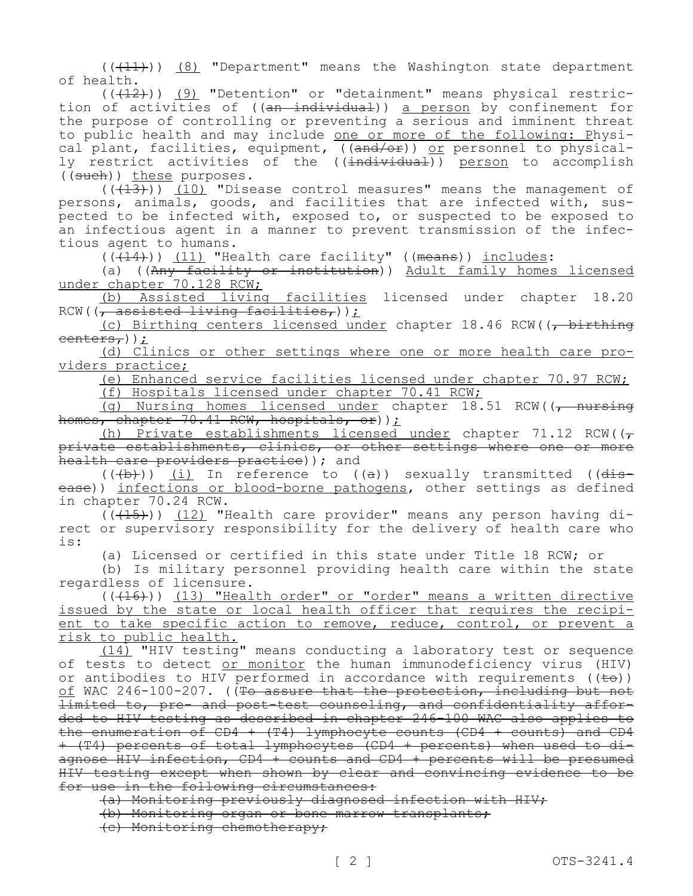$((+11))$  (8) "Department" means the Washington state department of health.

 $((+12))$  (9) "Detention" or "detainment" means physical restriction of activities of ((an individual)) a person by confinement for the purpose of controlling or preventing a serious and imminent threat to public health and may include one or more of the following: Physical plant, facilities, equipment, ((and/or)) or personnel to physically restrict activities of the ((<del>individual</del>)) <u>person</u> to accomplish ((such)) these purposes.

 $((+13))$   $(10)$  "Disease control measures" means the management of persons, animals, goods, and facilities that are infected with, suspected to be infected with, exposed to, or suspected to be exposed to an infectious agent in a manner to prevent transmission of the infectious agent to humans.

 $((\overline{(14)}))$  (11) "Health care facility" ((means)) includes:

(a) (( $Any$  facility or institution)) Adult family homes licensed under chapter 70.128 RCW;

(b) Assisted living facilities licensed under chapter 18.20 RCW( $\left($ , assisted living facilities,));

(c) Birthing centers licensed under chapter 18.46 RCW((, birthing centers,));

(d) Clinics or other settings where one or more health care providers practice;

(e) Enhanced service facilities licensed under chapter 70.97 RCW;

(f) Hospitals licensed under chapter 70.41 RCW;

(g) Nursing homes licensed under chapter 18.51 RCW((, nursing homes, chapter 70.41 RCW, hospitals, or));

(h) Private establishments licensed under chapter 71.12 RCW( $(\tau)$ private establishments, clinics, or other settings where one or more health care providers practice) ) ; and

 $((+b))$  (i) In reference to  $((a))$  sexually transmitted ( $(dis$ ease)) infections or blood-borne pathogens, other settings as defined in chapter 70.24 RCW.

 $((+15))$   $(12)$  "Health care provider" means any person having direct or supervisory responsibility for the delivery of health care who is:

(a) Licensed or certified in this state under Title 18 RCW; or

(b) Is military personnel providing health care within the state regardless of licensure.

(((16))) (13) "Health order" or "order" means a written directive issued by the state or local health officer that requires the recipient to take specific action to remove, reduce, control, or prevent a risk to public health.

(14) "HIV testing" means conducting a laboratory test or sequence of tests to detect or monitor the human immunodeficiency virus (HIV) or antibodies to HIV performed in accordance with requirements  $((\epsilon e))$ of WAC 246-100-207. ((To assure that the protection, including but not limited to, pre- and post-test counseling, and confidentiality afforded to HIV testing as described in chapter 246-100 WAC also applies to the enumeration of CD4 + (T4) lymphocyte counts (CD4 + counts) and CD4 + (T4) percents of total lymphocytes (CD4 + percents) when used to diagnose HIV infection, CD4 + counts and CD4 + percents will be presumed HIV testing except when shown by clear and convincing evidence to be for use in the following circumstances:

(a) Monitoring previously diagnosed infection with HIV;

(b) Monitoring organ or bone marrow transplants;

(c) Monitoring chemotherapy;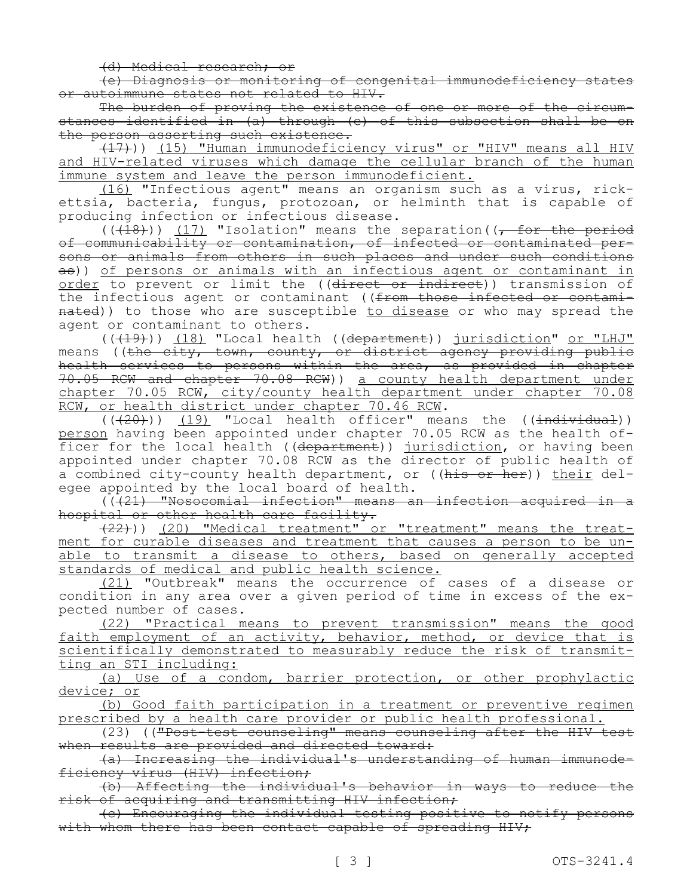(d) Medical research; or

(e) Diagnosis or monitoring of congenital immunodeficiency states or autoimmune states not related to HIV.

The burden of proving the existence of one or more of the circumstances identified in (a) through (e) of this subsection shall be on the person asserting such existence.

(17))) (15) "Human immunodeficiency virus" or "HIV" means all HIV and HIV-related viruses which damage the cellular branch of the human immune system and leave the person immunodeficient.

(16) "Infectious agent" means an organism such as a virus, rickettsia, bacteria, fungus, protozoan, or helminth that is capable of producing infection or infectious disease.

 $((+18))$   $(17)$  "Isolation" means the separation( $(-$  for the period of communicability or contamination, of infected or contaminated persons or animals from others in such places and under such conditions as)) of persons or animals with an infectious agent or contaminant in order to prevent or limit the ((direct or indirect)) transmission of the infectious agent or contaminant ((from those infected or contaminated)) to those who are susceptible to disease or who may spread the agent or contaminant to others.

(((19))) (18) "Local health ((department)) jurisdiction" or "LHJ" means ((<del>the city, town, county, or district agency providing public</del> health services to persons within the area, as provided in chapter 70.05 RCW and chapter 70.08 RCW)) a county health department under chapter 70.05 RCW, city/county health department under chapter 70.08 RCW, or health district under chapter 70.46 RCW.

 $((+20))$   $(19)$  "Local health officer" means the ((individual)) person having been appointed under chapter 70.05 RCW as the health officer for the local health ((department)) jurisdiction, or having been appointed under chapter 70.08 RCW as the director of public health of a combined city-county health department, or ((his or her)) their delegee appointed by the local board of health.

 $(\overline{(\cdot+21)}$  "Nosocomial infection" means an infection acquired in a hospital or other health care facility.

(22))) (20) "Medical treatment" or "treatment" means the treatment for curable diseases and treatment that causes a person to be unable to transmit a disease to others, based on generally accepted standards of medical and public health science.

(21) "Outbreak" means the occurrence of cases of a disease or condition in any area over a given period of time in excess of the expected number of cases.

(22) "Practical means to prevent transmission" means the good faith employment of an activity, behavior, method, or device that is scientifically demonstrated to measurably reduce the risk of transmitting an STI including:

(a) Use of a condom, barrier protection, or other prophylactic device; or

(b) Good faith participation in a treatment or preventive regimen prescribed by a health care provider or public health professional.

(23) (("Post-test counseling" means counseling after the HIV test when results are provided and directed toward:

(a) Increasing the individual's understanding of human immunodeficiency virus (HIV) infection;

(b) Affecting the individual's behavior in ways to reduce the risk of acquiring and transmitting HIV infection;

(c) Encouraging the individual testing positive to notify persons with whom there has been contact capable of spreading HIV;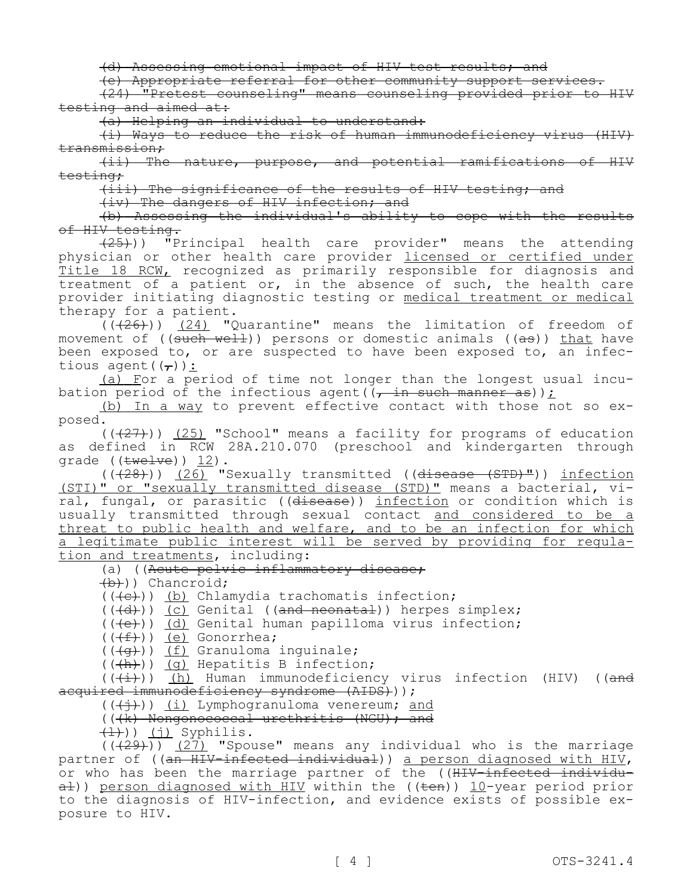(d) Assessing emotional impact of HIV test results; and

(e) Appropriate referral for other community support services.

(24) "Pretest counseling" means counseling provided prior to HIV testing and aimed at:

(a) Helping an individual to understand:

(i) Ways to reduce the risk of human immunodeficiency virus (HIV) transmission;

(ii) The nature, purpose, and potential ramifications of HIV testing;

(iii) The significance of the results of HIV testing; and

(iv) The dangers of HIV infection; and

(b) Assessing the individual's ability to cope with the results of HIV testing.

 $(25)$ )) "Principal health care provider" means the attending physician or other health care provider licensed or certified under Title 18 RCW, recognized as primarily responsible for diagnosis and treatment of a patient or, in the absence of such, the health care provider initiating diagnostic testing or medical treatment or medical therapy for a patient.

 $(1.26)$ )) (24) "Ouarantine" means the limitation of freedom of movement of  $((\text{such well}))$  persons or domestic animals  $((\text{as}))$  that have been exposed to, or are suspected to have been exposed to, an infectious agent $((\tau))$ :

(a) For a period of time not longer than the longest usual incubation period of the infectious agent( $(\tau$  in such manner as));

(b) In a way to prevent effective contact with those not so exposed.

 $((+27))$  (25) "School" means a facility for programs of education as defined in RCW 28A.210.070 (preschool and kindergarten through grade  $((\text{twelve})) 12$ .

 $((+28))$  (26) "Sexually transmitted (( $\overline{d}$ isease  $(STD)^{m}$ )) infection (STI)" or "sexually transmitted disease (STD)" means a bacterial, viral, fungal, or parasitic ((disease)) infection or condition which is usually transmitted through sexual contact and considered to be a threat to public health and welfare, and to be an infection for which a legitimate public interest will be served by providing for regulation and treatments, including:

(a) ((Acute pelvic inflammatory disease;

 $(b)$ ) Chancroid;

 $((+e))$  (b) Chlamydia trachomatis infection;

 $((+d))$  (c) Genital ((and neonatal)) herpes simplex;

(((e))) (d) Genital human papilloma virus infection;

 $((\text{f}))( \text{e})$  Gonorrhea;

(((g))) (f) Granuloma inguinale;

 $((+h))$   $(q)$  Hepatitis B infection;

 $((+i))$  (h) Human immunodeficiency virus infection (HIV) ((and acquired immunodeficiency syndrome (AIDS)));

 $((+\frac{1}{2}))$  (i) Lymphogranuloma venereum; and

(((k) Nongonococcal urethritis (NGU); and

 $\left(\frac{1}{1}\right)$ ) (j) Syphilis.

 $((+29))$   $(27)$  "Spouse" means any individual who is the marriage partner of ((an HIV-infected individual)) a person diagnosed with HIV, or who has been the marriage partner of the ((HIV-infected individu- $\frac{1}{a}$ )) person diagnosed with HIV within the (( $\frac{1}{b}$ )) 10-year period prior to the diagnosis of HIV-infection, and evidence exists of possible exposure to HIV.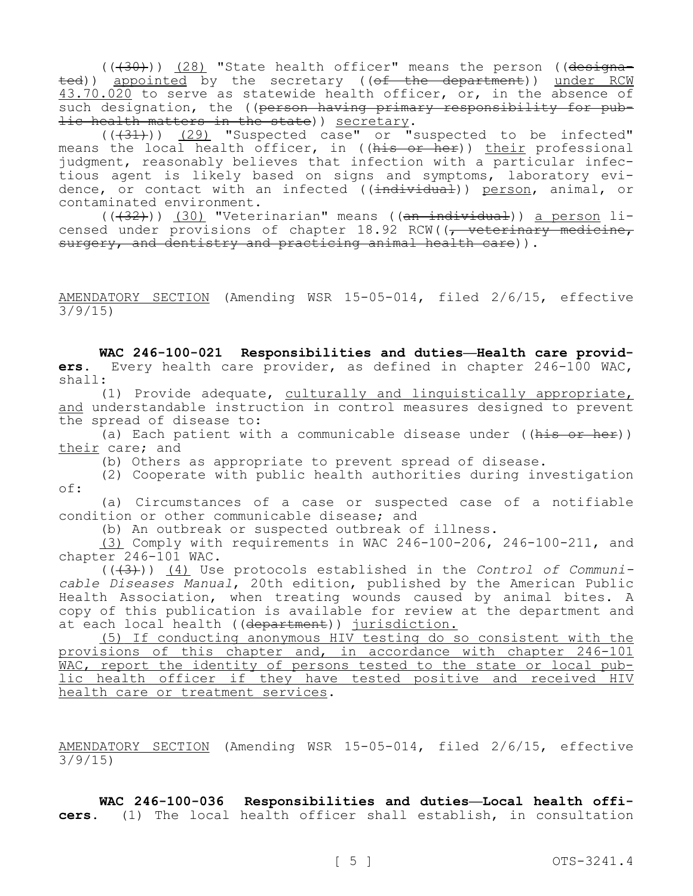$((+30))$   $(28)$  "State health officer" means the person ((designated)) appointed by the secretary ((of the department)) under RCW 43.70.020 to serve as statewide health officer, or, in the absence of such designation, the ((person having primary responsibility for public health matters in the state)) secretary.

 $((+31))$   $(29)$  "Suspected case" or "suspected to be infected" means the local health officer, in ((his or her)) their professional internal the above interest of the state of the state of the professional judgment, reasonably believes that infection with a particular infectious agent is likely based on signs and symptoms, laboratory evidence, or contact with an infected (( $\frac{1}{1}$ mdividual)) person, animal, or contaminated environment.

 $((\overline{32})$ ) (30) "Veterinarian" means ( $(\overline{an\_individual})$ ) a person licensed under provisions of chapter 18.92 RCW((<del>, veterinary medicine,</del> surgery, and dentistry and practicing animal health care)).

AMENDATORY SECTION (Amending WSR 15-05-014, filed 2/6/15, effective 3/9/15)

**WAC 246-100-021 Responsibilities and duties—Health care providers.** Every health care provider, as defined in chapter 246-100 WAC, shall:

(1) Provide adequate, culturally and linguistically appropriate, and understandable instruction in control measures designed to prevent the spread of disease to:

(a) Each patient with a communicable disease under ((his or her)) their care; and

(b) Others as appropriate to prevent spread of disease.

(2) Cooperate with public health authorities during investigation of:

(a) Circumstances of a case or suspected case of a notifiable condition or other communicable disease; and

(b) An outbreak or suspected outbreak of illness.

(3) Comply with requirements in WAC 246-100-206, 246-100-211, and chapter 246-101 WAC.

(((3))) (4) Use protocols established in the *Control of Communicable Diseases Manual*, 20th edition, published by the American Public Health Association, when treating wounds caused by animal bites. A copy of this publication is available for review at the department and at each local health ((department)) jurisdiction.

(5) If conducting anonymous HIV testing do so consistent with the provisions of this chapter and, in accordance with chapter 246-101 WAC, report the identity of persons tested to the state or local public health officer if they have tested positive and received HIV health care or treatment services.

AMENDATORY SECTION (Amending WSR 15-05-014, filed 2/6/15, effective 3/9/15)

**WAC 246-100-036 Responsibilities and duties—Local health officers.** (1) The local health officer shall establish, in consultation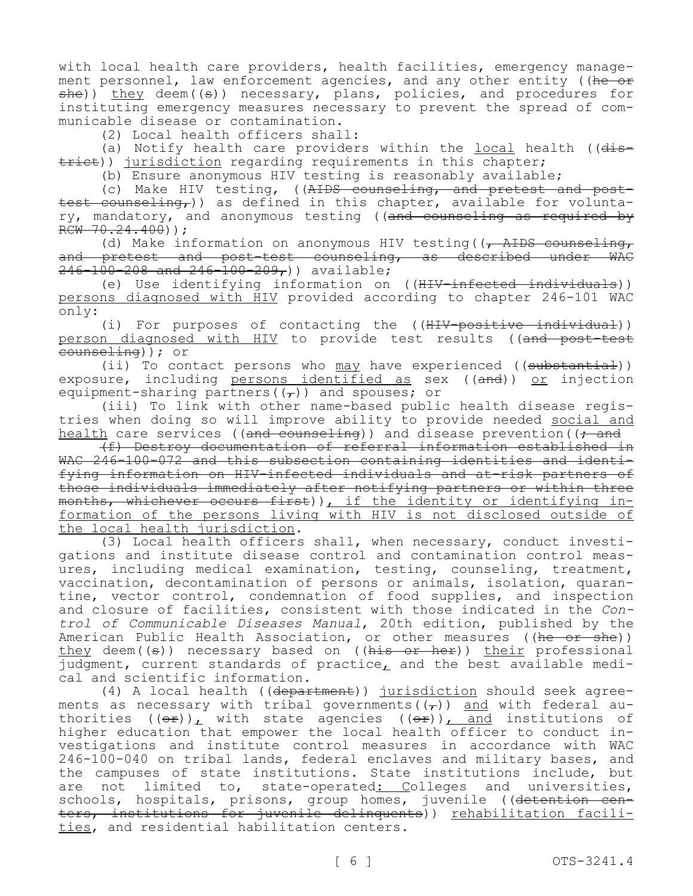with local health care providers, health facilities, emergency management personnel, law enforcement agencies, and any other entity ((he or  $she()$  they deem((s)) necessary, plans, policies, and procedures for instituting emergency measures necessary to prevent the spread of communicable disease or contamination.

(2) Local health officers shall:

(a) Notify health care providers within the local health ( $(dis$ trict)) jurisdiction regarding requirements in this chapter;

(b) Ensure anonymous HIV testing is reasonably available;

(c) Make HIV testing, ((AIDS counseling, and pretest and posttest counseling,)) as defined in this chapter, available for voluntary, mandatory, and anonymous testing ((and counseling as required by  $RCW - 70.24.400)$ ;

(d) Make information on anonymous HIV testing( $\sqrt{A\text{HDS}}$  counseling, and pretest and post-test counseling, as described under WAC  $246 - 100 - 208$  and  $246 - 100 - 209$ , available;

(e) Use identifying information on ((HIV-infected individuals)) persons diagnosed with HIV provided according to chapter 246-101 WAC only:

(i) For purposes of contacting the ((HIV-positive individual)) person diagnosed with HIV to provide test results ((and post-test counseling)); or

(ii) To contact persons who may have experienced ((substantial)) exposure, including persons identified as sex ((and)) or injection equipment-sharing partners( $(\tau)$ ) and spouses; or

(iii) To link with other name-based public health disease registries when doing so will improve ability to provide needed social and health care services ((and counseling)) and disease prevention((<del>; and</del>

(f) Destroy documentation of referral information established in WAC 246-100-072 and this subsection containing identities and identifying information on HIV-infected individuals and at-risk partners of those individuals immediately after notifying partners or within three months, whichever occurs first)), if the identity or identifying information of the persons living with HIV is not disclosed outside of the local health jurisdiction.

(3) Local health officers shall, when necessary, conduct investigations and institute disease control and contamination control measures, including medical examination, testing, counseling, treatment, vaccination, decontamination of persons or animals, isolation, quarantine, vector control, condemnation of food supplies, and inspection and closure of facilities, consistent with those indicated in the *Control of Communicable Diseases Manual*, 20th edition, published by the American Public Health Association, or other measures ((he or she)) they deem((s)) necessary based on ((his or her)) their professional judgment, current standards of practice, and the best available medical and scientific information.

(4) A local health ((department)) jurisdiction should seek agreements as necessary with tribal governments( $(\tau)$ ) and with federal authorities  $((\theta \hat{r}))_L$  with state agencies  $((\theta \hat{r}))_L$  and institutions of higher education that empower the local health officer to conduct investigations and institute control measures in accordance with WAC 246-100-040 on tribal lands, federal enclaves and military bases, and the campuses of state institutions. State institutions include, but are not limited to, state-operated: Colleges and universities, schools, hospitals, prisons, group homes, juvenile ((detention centers, institutions for juvenile delinquents)) rehabilitation facilities, and residential habilitation centers.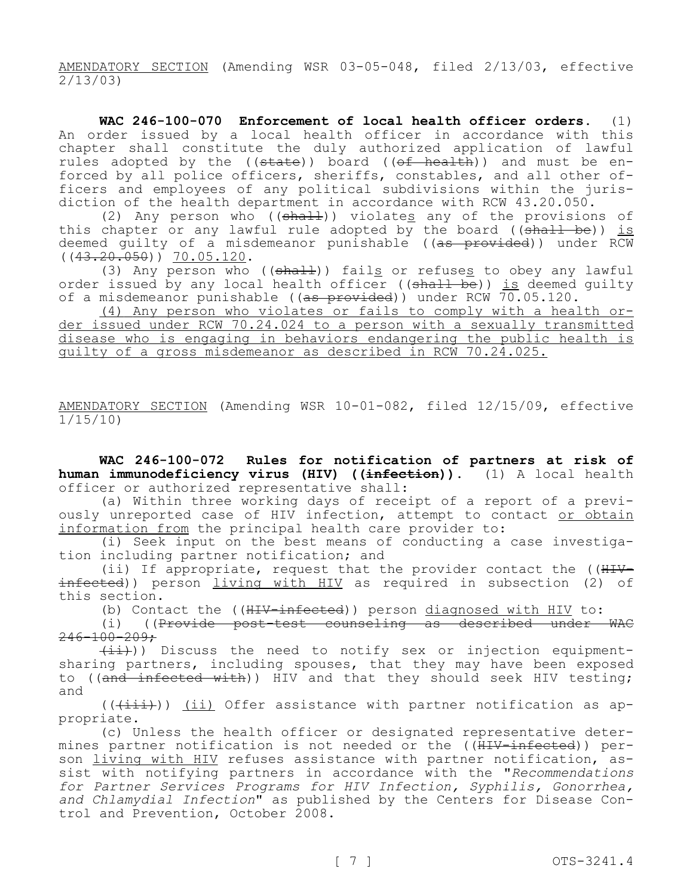AMENDATORY SECTION (Amending WSR 03-05-048, filed 2/13/03, effective 2/13/03)

**WAC 246-100-070 Enforcement of local health officer orders.** (1) An order issued by a local health officer in accordance with this chapter shall constitute the duly authorized application of lawful rules adopted by the ((state)) board ((of health)) and must be enforced by all police officers, sheriffs, constables, and all other officers and employees of any political subdivisions within the jurisdiction of the health department in accordance with RCW 43.20.050.

(2) Any person who  $((shall))$  violates any of the provisions of this chapter or any lawful rule adopted by the board  $((shall be))$  is deemed guilty of a misdemeanor punishable ((<del>as provided</del>)) under RCW  $((43.20.050))$   $70.05.120$ .

(3) Any person who  $((shath)$  fails or refuses to obey any lawful order issued by any local health officer ((shall be)) is deemed quilty of a misdemeanor punishable ( $(a<sub>s</sub>$  provided)) under RCW  $\overline{70.05.120.}$ 

(4) Any person who violates or fails to comply with a health order issued under RCW 70.24.024 to a person with a sexually transmitted disease who is engaging in behaviors endangering the public health is guilty of a gross misdemeanor as described in RCW 70.24.025.

AMENDATORY SECTION (Amending WSR 10-01-082, filed 12/15/09, effective 1/15/10)

**WAC 246-100-072 Rules for notification of partners at risk of human immunodeficiency virus (HIV) ((infection)).** (1) A local health officer or authorized representative shall:

(a) Within three working days of receipt of a report of a previously unreported case of HIV infection, attempt to contact or obtain information from the principal health care provider to:

(i) Seek input on the best means of conducting a case investigation including partner notification; and

(ii) If appropriate, request that the provider contact the  $((\text{HHV}$ infected)) person living with HIV as required in subsection (2) of this section.

(b) Contact the ((HIV-infected)) person diagnosed with HIV to:

(i) ((Provide post-test counseling as described under WAC  $246 - 100 - 209$ ;

 $(\pm i)$ )) Discuss the need to notify sex or injection equipmentsharing partners, including spouses, that they may have been exposed to ((and infected with)) HIV and that they should seek HIV testing; and

 $((\overrightarrow{+i+})$ ) (ii) Offer assistance with partner notification as appropriate.

(c) Unless the health officer or designated representative determines partner notification is not needed or the ((HIV-infected)) person living with HIV refuses assistance with partner notification, assist with notifying partners in accordance with the "*Recommendations for Partner Services Programs for HIV Infection, Syphilis, Gonorrhea, and Chlamydial Infection*" as published by the Centers for Disease Control and Prevention, October 2008.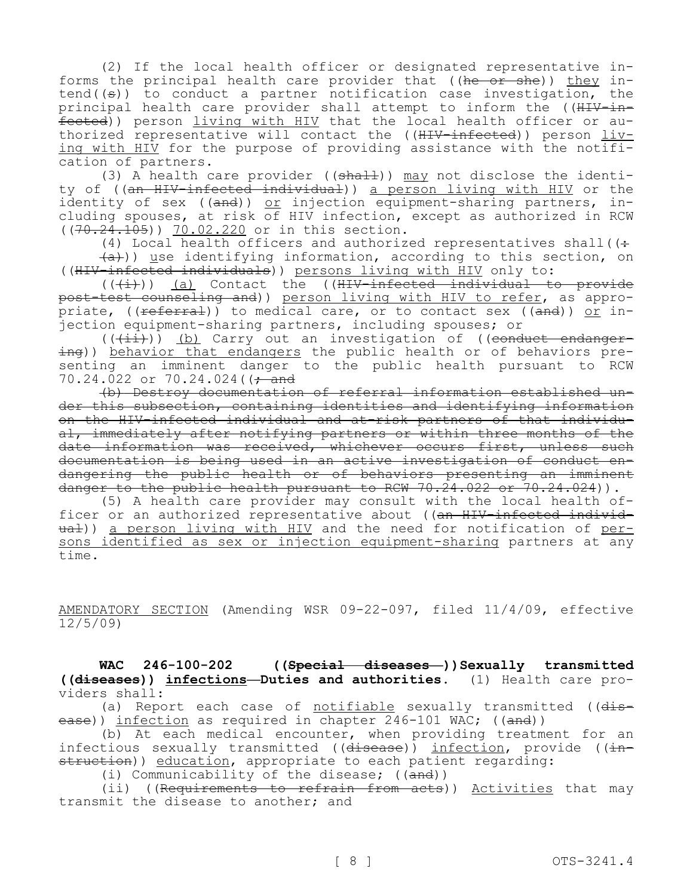(2) If the local health officer or designated representative informs the principal health care provider that  $((he - or - she))$  they intend( $(\theta)$ ) to conduct a partner notification case investigation, the principal health care provider shall attempt to inform the ((HIV-infected)) person living with HIV that the local health officer or authorized representative will contact the ((HIV-infected)) person living with HIV for the purpose of providing assistance with the notification of partners.

(3) A health care provider (( $\frac{1}{3}$ ) may not disclose the identity of ((an HIV-infected individual)) a person living with HIV or the identity of sex ((and)) or injection equipment-sharing partners, including spouses, at risk of HIV infection, except as authorized in RCW ((70.24.105)) 70.02.220 or in this section.

(4) Local health officers and authorized representatives shall( $($ :  $(a+)$ ) use identifying information, according to this section, on ((HIV-infected individuals)) persons living with HIV only to:

 $((+\frac{1}{2}))$  (a) Contact the ((H<del>IV-infected individual to provide</del> post-test counseling and)) person living with HIV to refer, as appropriate, (( $f$ eferral)) to medical care, or to contact sex (( $f$ and)) or injection equipment-sharing partners, including spouses; or

 $((+\pm\pm))$  (b) Carry out an investigation of ((conduct endangering)) behavior that endangers the public health or of behaviors presenting an imminent danger to the public health pursuant to RCW 70.24.022 or 70.24.024(( $\div$  and

(b) Destroy documentation of referral information established under this subsection, containing identities and identifying information on the HIV-infected individual and at-risk partners of that individual, immediately after notifying partners or within three months of the date information was received, whichever occurs first, unless such documentation is being used in an active investigation of conduct endangering the public health or of behaviors presenting an imminent danger to the public health pursuant to RCW  $70.24.022$  or  $70.24.024$ )).

(5) A health care provider may consult with the local health officer or an authorized representative about ((an HIV-infected individual)) a person living with HIV and the need for notification of persons identified as sex or injection equipment-sharing partners at any time.

AMENDATORY SECTION (Amending WSR 09-22-097, filed 11/4/09, effective  $12/5/09$ 

WAC 246-100-202 ((Special diseases ))Sexually transmitted **((diseases)) infections—Duties and authorities.** (1) Health care providers shall:

(a) Report each case of notifiable sexually transmitted ( $(dis$ ease)) infection as required in chapter 246-101 WAC; ((and))

(b) At each medical encounter, when providing treatment for an infectious sexually transmitted ((<del>disease</del>)) <u>infection</u>, provide ((<del>in-</del> struction)) education, appropriate to each patient regarding:

(i) Communicability of the disease; ((and))

(ii) ((Requirements to refrain from acts)) Activities that may transmit the disease to another; and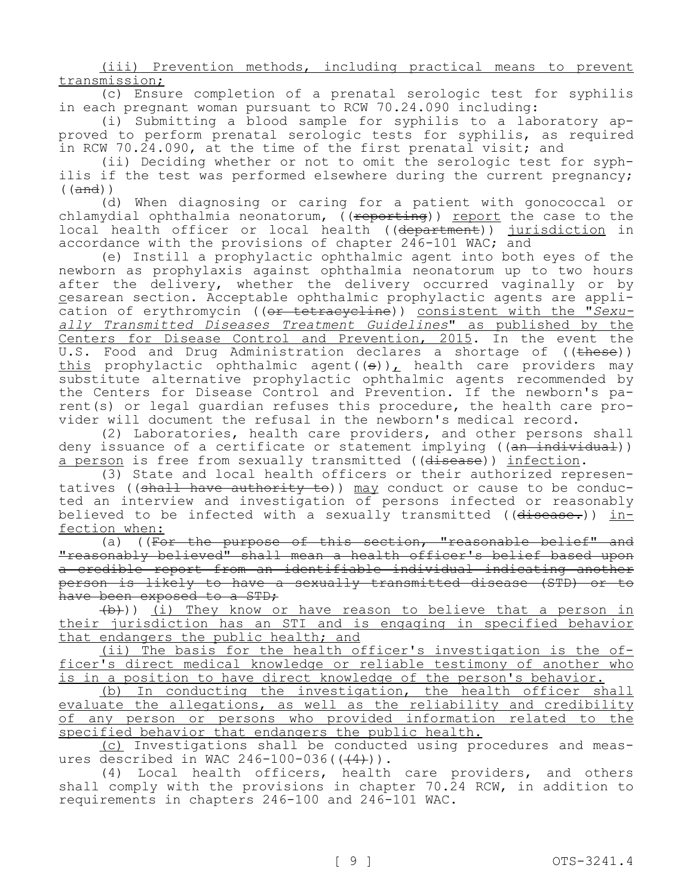(iii) Prevention methods, including practical means to prevent transmission;

(c) Ensure completion of a prenatal serologic test for syphilis in each pregnant woman pursuant to RCW 70.24.090 including:

(i) Submitting a blood sample for syphilis to a laboratory approved to perform prenatal serologic tests for syphilis, as required in RCW 70.24.090, at the time of the first prenatal visit; and

(ii) Deciding whether or not to omit the serologic test for syphilis if the test was performed elsewhere during the current pregnancy;  $((and))$ 

(d) When diagnosing or caring for a patient with gonococcal or chlamydial ophthalmia neonatorum, ((reporting)) report the case to the local health officer or local health ((<del>department</del>)) jurisdiction in accordance with the provisions of chapter 246-101 WAC; and

(e) Instill a prophylactic ophthalmic agent into both eyes of the newborn as prophylaxis against ophthalmia neonatorum up to two hours after the delivery, whether the delivery occurred vaginally or by cesarean section. Acceptable ophthalmic prophylactic agents are application of erythromycin ((or tetracycline)) consistent with the "*Sexually Transmitted Diseases Treatment Guidelines*" as published by the Centers for Disease Control and Prevention, 2015. In the event the U.S. Food and Drug Administration declares a shortage of ((<del>these</del>)) this prophylactic ophthalmic agent( $(\theta)$ ), health care providers may substitute alternative prophylactic ophthalmic agents recommended by the Centers for Disease Control and Prevention. If the newborn's parent(s) or legal guardian refuses this procedure, the health care provider will document the refusal in the newborn's medical record.

(2) Laboratories, health care providers, and other persons shall deny issuance of a certificate or statement implying ((an individual)) a person is free from sexually transmitted ((disease)) infection.

(3) State and local health officers or their authorized representatives ((shall have authority to)) may conduct or cause to be conducted an interview and investigation of persons infected or reasonably believed to be infected with a sexually transmitted ((disease.)) infection when:

(a) ((For the purpose of this section, "reasonable belief" and "reasonably believed" shall mean a health officer's belief based upon a credible report from an identifiable individual indicating another person is likely to have a sexually transmitted disease (STD) or to have been exposed to a STD;

(b))) (i) They know or have reason to believe that a person in their jurisdiction has an STI and is engaging in specified behavior that endangers the public health; and

(ii) The basis for the health officer's investigation is the officer's direct medical knowledge or reliable testimony of another who is in a position to have direct knowledge of the person's behavior.

(b) In conducting the investigation, the health officer shall evaluate the allegations, as well as the reliability and credibility of any person or persons who provided information related to the specified behavior that endangers the public health.

(c) Investigations shall be conducted using procedures and measures described in WAC  $246-100-036$  ( $(44)$ )).

(4) Local health officers, health care providers, and others shall comply with the provisions in chapter 70.24 RCW, in addition to requirements in chapters 246-100 and 246-101 WAC.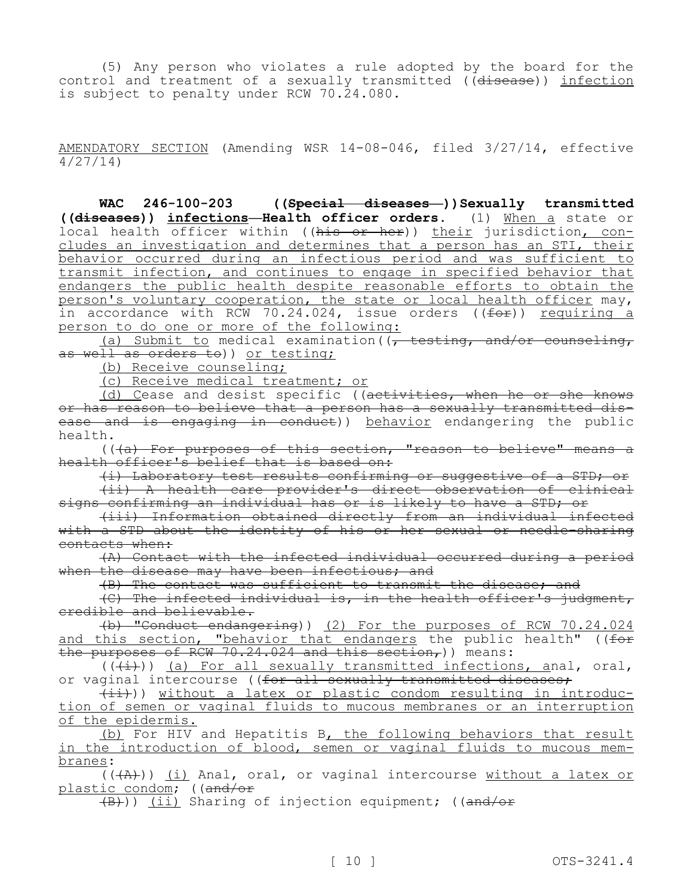(5) Any person who violates a rule adopted by the board for the control and treatment of a sexually transmitted ((disease)) infection is subject to penalty under RCW 70.24.080.

AMENDATORY SECTION (Amending WSR 14-08-046, filed 3/27/14, effective 4/27/14)

**WAC 246-100-203 ((Special diseases—))Sexually transmitted ((diseases)) infections—Health officer orders.** (1) When a state or local health officer within ((his or her)) their jurisdiction, concludes an investigation and determines that a person has an STI, their behavior occurred during an infectious period and was sufficient to transmit infection, and continues to engage in specified behavior that endangers the public health despite reasonable efforts to obtain the person's voluntary cooperation, the state or local health officer may, in accordance with RCW 70.24.024, issue orders ((for)) requiring a person to do one or more of the following:

(a) Submit to medical examination((, testing, and/or counseling, as well as orders to)) or testing;

(b) Receive counseling;

(c) Receive medical treatment; or

(d) Cease and desist specific ((activities, when he or she knows or has reason to believe that a person has a sexually transmitted disease and is engaging in conduct)) behavior endangering the public health.

 $((+a)$  For purposes of this section, "reason to believe" means a health officer's belief that is based on:

(i) Laboratory test results confirming or suggestive of a STD; or

(ii) A health care provider's direct observation of clinical signs confirming an individual has or is likely to have a STD; or

(iii) Information obtained directly from an individual infected with a STD about the identity of his or her sexual or needle-sharing contacts when:

(A) Contact with the infected individual occurred during a period when the disease may have been infectious; and

(B) The contact was sufficient to transmit the disease; and

(C) The infected individual is, in the health officer's judgment, credible and believable.

(b) "Conduct endangering)) (2) For the purposes of RCW 70.24.024 and this section, "behavior that endangers the public health" ((for the purposes of RCW 70.24.024 and this section,)) means:

 $((+i))$  (a) For all sexually transmitted infections, anal, oral, or vaginal intercourse ((for all sexually transmitted diseases;

 $(i+1)$ ) without a latex or plastic condom resulting in introduction of semen or vaginal fluids to mucous membranes or an interruption of the epidermis.

(b) For HIV and Hepatitis B, the following behaviors that result in the introduction of blood, semen or vaginal fluids to mucous membranes:

 $((+A))$  (i) Anal, oral, or vaginal intercourse without a latex or plastic condom; ((and/or

(B))) (ii) Sharing of injection equipment; ((and/or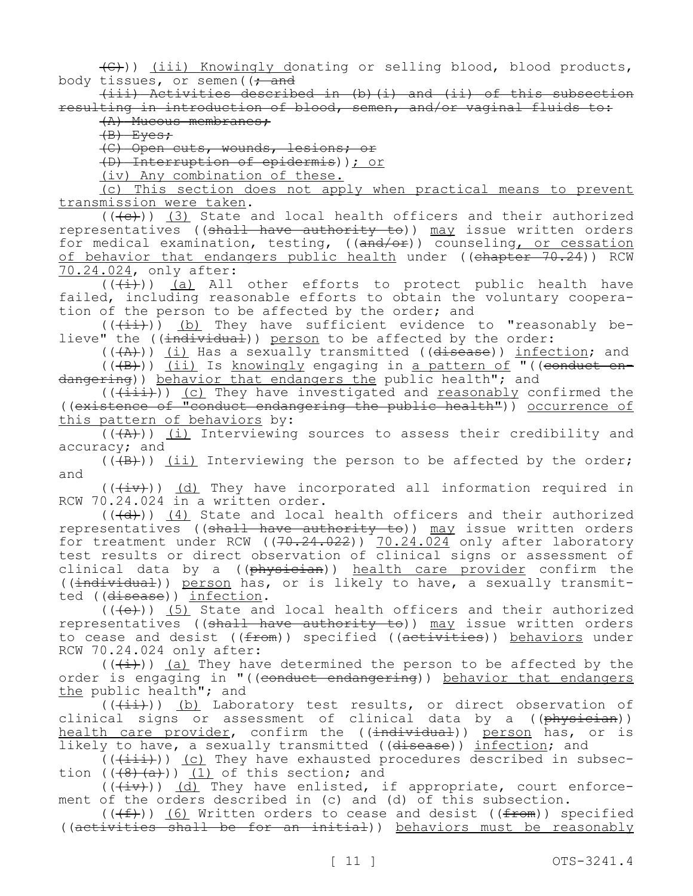$(\theta)$ ) (iii) Knowingly donating or selling blood, blood products, body tissues, or semen( $\frac{1}{t}$  and

(iii) Activities described in (b)(i) and (ii) of this subsection resulting in introduction of blood, semen, and/or vaginal fluids to:

(A) Mucous membranes;

(B) Eyes;

(C) Open cuts, wounds, lesions; or

(D) Interruption of epidermis)); or

(iv) Any combination of these.

(c) This section does not apply when practical means to prevent transmission were taken.

 $((+e))$  (3) State and local health officers and their authorized representatives ((shall have authority to)) may issue written orders for medical examination, testing, ((and/or)) counseling, or cessation of behavior that endangers public health under ((<del>chapter 70.24</del>)) RCW 70.24.024, only after:

 $((+\frac{1}{x}))$  (a) All other efforts to protect public health have failed, including reasonable efforts to obtain the voluntary cooperation of the person to be affected by the order; and

 $((+i\rightarrow))$  (b) They have sufficient evidence to "reasonably believe" the ((individual)) person to be affected by the order:

(((A))) (i) Has a sexually transmitted ((disease)) infection; and (((B))) (ii) Is knowingly engaging in a pattern of "((conduct endangering)) behavior that endangers the public health"; and

 $((\overline{\text{init}}))$  (c) They have investigated and reasonably confirmed the ((existence of "conduct endangering the public health")) occurrence of this pattern of behaviors by:

 $((+A))$  (i) Interviewing sources to assess their credibility and accuracy; and

 $((+B))$  (ii) Interviewing the person to be affected by the order; and

 $((+iv))$  (d) They have incorporated all information required in RCW 70.24.024 in a written order.

 $((\overline{d}))$  (4) State and local health officers and their authorized representatives ((shall have authority to)) may issue written orders for treatment under RCW ((70.24.022)) 70.24.024 only after laboratory test results or direct observation of clinical signs or assessment of clinical data by a ((physician)) health care provider confirm the ((individual)) person has, or is likely to have, a sexually transmitted ((disease)) infection.

 $((+e))$  (5) State and local health officers and their authorized representatives ((shall have authority to)) may issue written orders to cease and desist ((from)) specified ((activities)) behaviors under RCW 70.24.024 only after:

 $((+i))$  (a) They have determined the person to be affected by the order is engaging in "((conduct endangering)) behavior that endangers the public health"; and

 $((+i+))$  (b) Laboratory test results, or direct observation of clinical signs or assessment of clinical data by a ((physician)) health care provider, confirm the ((<del>individual</del>)) person has, or is likely to have, a sexually transmitted ((disease)) infection; and

 $((+iii))$  (c) They have exhausted procedures described in subsection  $((\{8\},\{a\}))$  (1) of this section; and

 $((+\pm v))$  (d) They have enlisted, if appropriate, court enforcement of the orders described in (c) and (d) of this subsection.

 $((\text{+f-})^2)$  (6) Written orders to cease and desist (( $\text{f-f-}$ )) specified ((activities shall be for an initial)) behaviors must be reasonably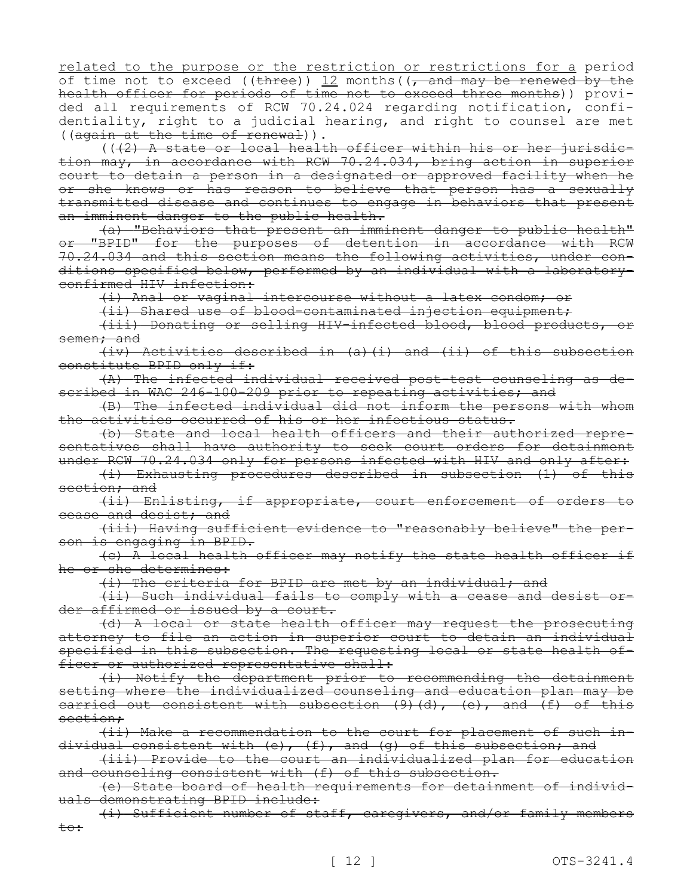related to the purpose or the restriction or restrictions for a period of time not to exceed ((three)) 12 months( $\sqrt{ }$  and may be renewed by the health officer for periods of time not to exceed three months)) provided all requirements of RCW 70.24.024 regarding notification, confidentiality, right to a judicial hearing, and right to counsel are met ((again at the time of renewal)).

 $((2)$  A state or local health officer within his or her jurisdiction may, in accordance with RCW 70.24.034, bring action in superior court to detain a person in a designated or approved facility when he or she knows or has reason to believe that person has a sexually transmitted disease and continues to engage in behaviors that present an imminent danger to the public health.

(a) "Behaviors that present an imminent danger to public health" or "BPID" for the purposes of detention in accordance with RCW 70.24.034 and this section means the following activities, under conditions specified below, performed by an individual with a laboratoryconfirmed HIV infection:

(i) Anal or vaginal intercourse without a latex condom; or

(ii) Shared use of blood-contaminated injection equipment;

(iii) Donating or selling HIV-infected blood, blood products, or semen; and

(iv) Activities described in (a)(i) and (ii) of this subsection constitute BPID only if:

(A) The infected individual received post-test counseling as described in WAC 246-100-209 prior to repeating activities; and

(B) The infected individual did not inform the persons with whom the activities occurred of his or her infectious status.

(b) State and local health officers and their authorized representatives shall have authority to seek court orders for detainment under RCW 70.24.034 only for persons infected with HIV and only after:

(i) Exhausting procedures described in subsection (1) of this section; and

(ii) Enlisting, if appropriate, court enforcement of orders to cease and desist; and

(iii) Having sufficient evidence to "reasonably believe" the person is engaging in BPID.

(c) A local health officer may notify the state health officer if he or she determines:

(i) The criteria for BPID are met by an individual; and

(ii) Such individual fails to comply with a cease and desist order affirmed or issued by a court.

(d) A local or state health officer may request the prosecuting attorney to file an action in superior court to detain an individual specified in this subsection. The requesting local or state health officer or authorized representative shall:

(i) Notify the department prior to recommending the detainment setting where the individualized counseling and education plan may be carried out consistent with subsection  $(9)$  (d), (e), and (f) of this section;

(ii) Make a recommendation to the court for placement of such individual consistent with (e), (f), and (g) of this subsection; and

(iii) Provide to the court an individualized plan for education and counseling consistent with (f) of this subsection.

(e) State board of health requirements for detainment of individuals demonstrating BPID include:

(i) Sufficient number of staff, caregivers, and/or family members to: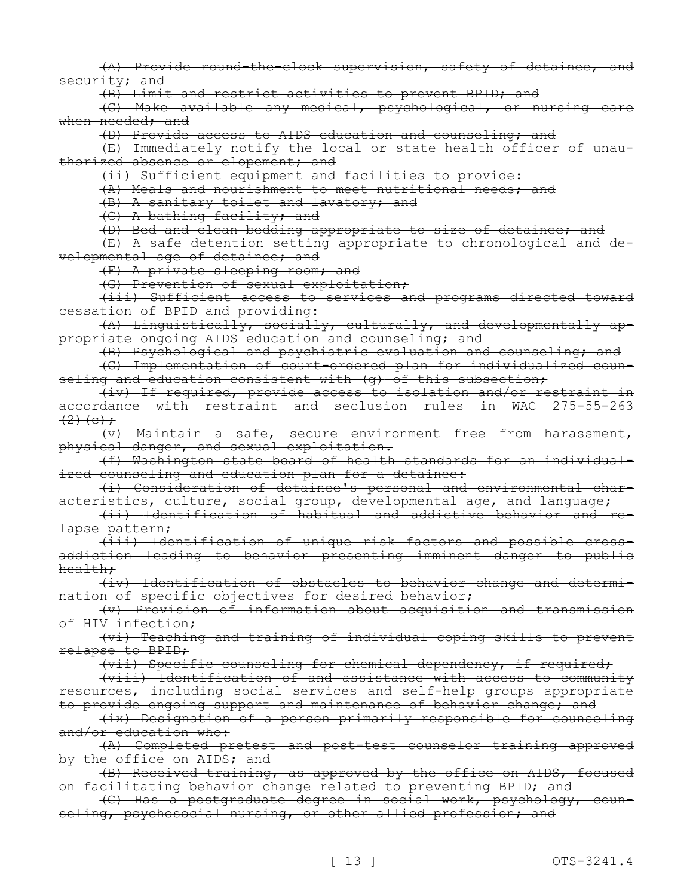(A) Provide round-the-clock supervision, safety of detainee, and security; and

(B) Limit and restrict activities to prevent BPID; and

(C) Make available any medical, psychological, or nursing care when needed; and

(D) Provide access to AIDS education and counseling; and

(E) Immediately notify the local or state health officer of unauthorized absence or elopement; and

(ii) Sufficient equipment and facilities to provide:

(A) Meals and nourishment to meet nutritional needs; and

(B) A sanitary toilet and lavatory; and

(C) A bathing facility; and

(D) Bed and clean bedding appropriate to size of detainee; and

(E) A safe detention setting appropriate to chronological and developmental age of detainee; and

(F) A private sleeping room; and

(G) Prevention of sexual exploitation;

(iii) Sufficient access to services and programs directed toward cessation of BPID and providing:

(A) Linguistically, socially, culturally, and developmentally appropriate ongoing AIDS education and counseling; and

(B) Psychological and psychiatric evaluation and counseling; and

(C) Implementation of court-ordered plan for individualized counseling and education consistent with (q) of this subsection;

(iv) If required, provide access to isolation and/or restraint in accordance with restraint and seclusion rules in WAC 275-55-263  $(2)$  (c);

(v) Maintain a safe, secure environment free from harassment, physical danger, and sexual exploitation.

(f) Washington state board of health standards for an individualized counseling and education plan for a detainee:

(i) Consideration of detainee's personal and environmental characteristics, culture, social group, developmental age, and language;

(ii) Identification of habitual and addictive behavior and relapse pattern;

(iii) Identification of unique risk factors and possible crossaddiction leading to behavior presenting imminent danger to public health;

(iv) Identification of obstacles to behavior change and determination of specific objectives for desired behavior;

(v) Provision of information about acquisition and transmission of HIV infection;

(vi) Teaching and training of individual coping skills to prevent relapse to BPID;

(vii) Specific counseling for chemical dependency, if required;

(viii) Identification of and assistance with access to community resources, including social services and self-help groups appropriate to provide ongoing support and maintenance of behavior change; and

(ix) Designation of a person primarily responsible for counseling and/or education who:

(A) Completed pretest and post-test counselor training approved by the office on AIDS; and

(B) Received training, as approved by the office on AIDS, focused on facilitating behavior change related to preventing BPID; and

(C) Has a postgraduate degree in social work, psychology, counseling, psychosocial nursing, or other allied profession; and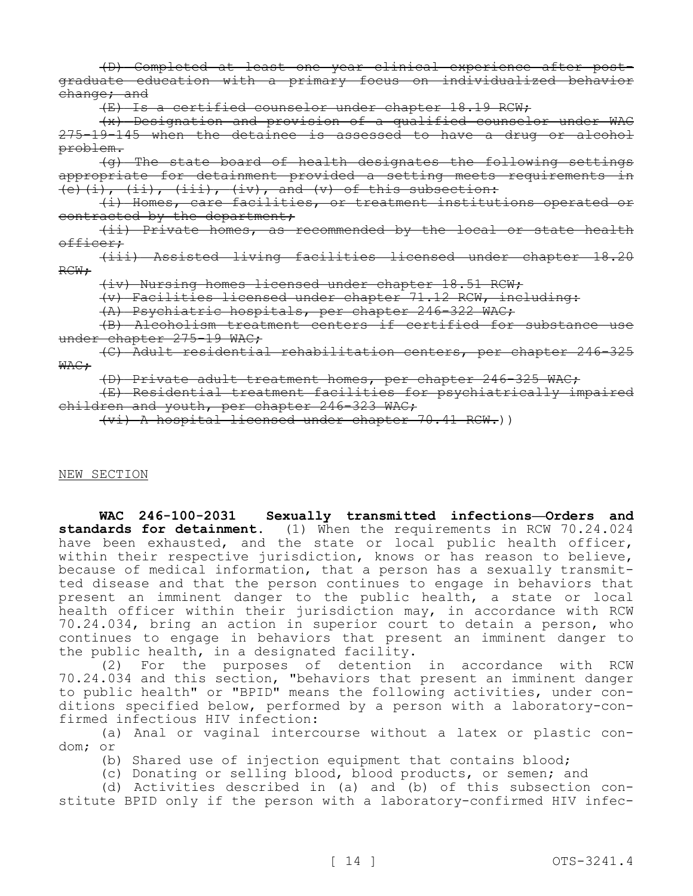(D) Completed at least one year clinical experience after postgraduate education with a primary focus on individualized behavior change; and

(E) Is a certified counselor under chapter 18.19 RCW;

(x) Designation and provision of a qualified counselor under WAC 275-19-145 when the detainee is assessed to have a drug or alcohol problem.

(g) The state board of health designates the following settings appropriate for detainment provided a setting meets requirements in  $(e)$   $(i)$ ,  $(ii)$ ,  $(iii)$ ,  $(iv)$ , and  $(v)$  of this subsection:

(i) Homes, care facilities, or treatment institutions operated or contracted by the department;

(ii) Private homes, as recommended by the local or state health officer;

(iii) Assisted living facilities licensed under chapter 18.20 RCW;

(iv) Nursing homes licensed under chapter 18.51 RCW;

(v) Facilities licensed under chapter 71.12 RCW, including:

(A) Psychiatric hospitals, per chapter 246-322 WAC;

(B) Alcoholism treatment centers if certified for substance use under chapter 275-19 WAC;

(C) Adult residential rehabilitation centers, per chapter 246-325 WAC:

(D) Private adult treatment homes, per chapter 246-325 WAC;

(E) Residential treatment facilities for psychiatrically impaired children and youth, per chapter 246-323 WAC;

(vi) A hospital licensed under chapter 70.41 RCW.))

#### NEW SECTION

**WAC 246-100-2031 Sexually transmitted infections—Orders and standards for detainment.** (1) When the requirements in RCW 70.24.024 have been exhausted, and the state or local public health officer, within their respective jurisdiction, knows or has reason to believe, because of medical information, that a person has a sexually transmitted disease and that the person continues to engage in behaviors that present an imminent danger to the public health, a state or local health officer within their jurisdiction may, in accordance with RCW 70.24.034, bring an action in superior court to detain a person, who continues to engage in behaviors that present an imminent danger to the public health, in a designated facility.

(2) For the purposes of detention in accordance with RCW 70.24.034 and this section, "behaviors that present an imminent danger to public health" or "BPID" means the following activities, under conditions specified below, performed by a person with a laboratory-confirmed infectious HIV infection:

(a) Anal or vaginal intercourse without a latex or plastic condom; or

(b) Shared use of injection equipment that contains blood;

(c) Donating or selling blood, blood products, or semen; and

(d) Activities described in (a) and (b) of this subsection constitute BPID only if the person with a laboratory-confirmed HIV infec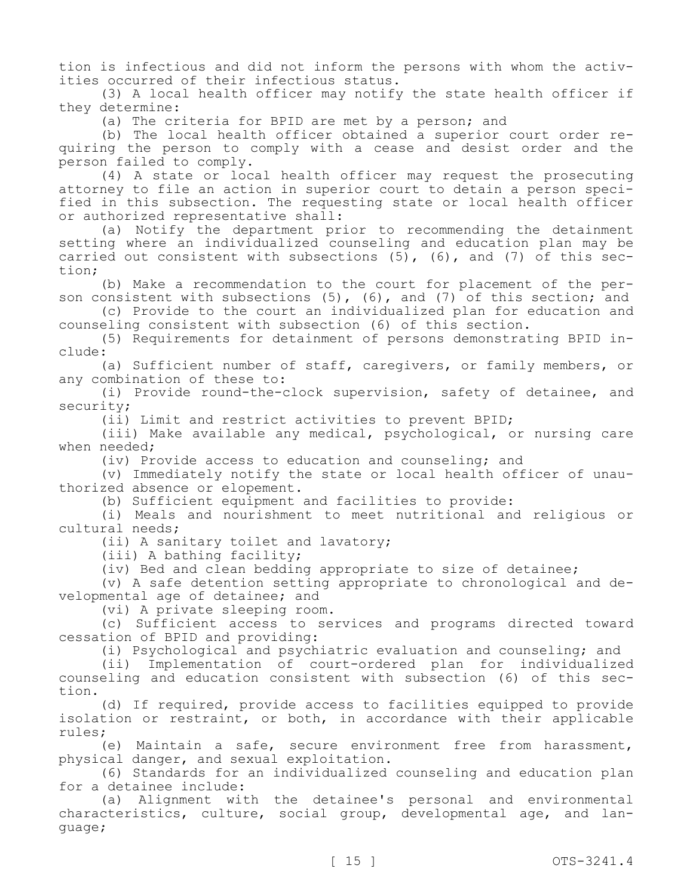tion is infectious and did not inform the persons with whom the activities occurred of their infectious status.

(3) A local health officer may notify the state health officer if they determine:

(a) The criteria for BPID are met by a person; and

(b) The local health officer obtained a superior court order requiring the person to comply with a cease and desist order and the person failed to comply.

(4) A state or local health officer may request the prosecuting attorney to file an action in superior court to detain a person specified in this subsection. The requesting state or local health officer or authorized representative shall:

(a) Notify the department prior to recommending the detainment setting where an individualized counseling and education plan may be carried out consistent with subsections  $(5)$ ,  $(6)$ , and  $(7)$  of this section;

(b) Make a recommendation to the court for placement of the person consistent with subsections  $(5)$ ,  $(6)$ , and  $(7)$  of this section; and

(c) Provide to the court an individualized plan for education and counseling consistent with subsection (6) of this section.

(5) Requirements for detainment of persons demonstrating BPID include:

(a) Sufficient number of staff, caregivers, or family members, or any combination of these to:

(i) Provide round-the-clock supervision, safety of detainee, and security;

(ii) Limit and restrict activities to prevent BPID;

(iii) Make available any medical, psychological, or nursing care when needed;

(iv) Provide access to education and counseling; and

(v) Immediately notify the state or local health officer of unauthorized absence or elopement.

(b) Sufficient equipment and facilities to provide:

(i) Meals and nourishment to meet nutritional and religious or cultural needs;

(ii) A sanitary toilet and lavatory;

(iii) A bathing facility;

(iv) Bed and clean bedding appropriate to size of detainee;

(v) A safe detention setting appropriate to chronological and developmental age of detainee; and

(vi) A private sleeping room.

(c) Sufficient access to services and programs directed toward cessation of BPID and providing:

(i) Psychological and psychiatric evaluation and counseling; and

(ii) Implementation of court-ordered plan for individualized counseling and education consistent with subsection (6) of this section.

(d) If required, provide access to facilities equipped to provide isolation or restraint, or both, in accordance with their applicable rules;

(e) Maintain a safe, secure environment free from harassment, physical danger, and sexual exploitation.

(6) Standards for an individualized counseling and education plan for a detainee include:

(a) Alignment with the detainee's personal and environmental characteristics, culture, social group, developmental age, and language;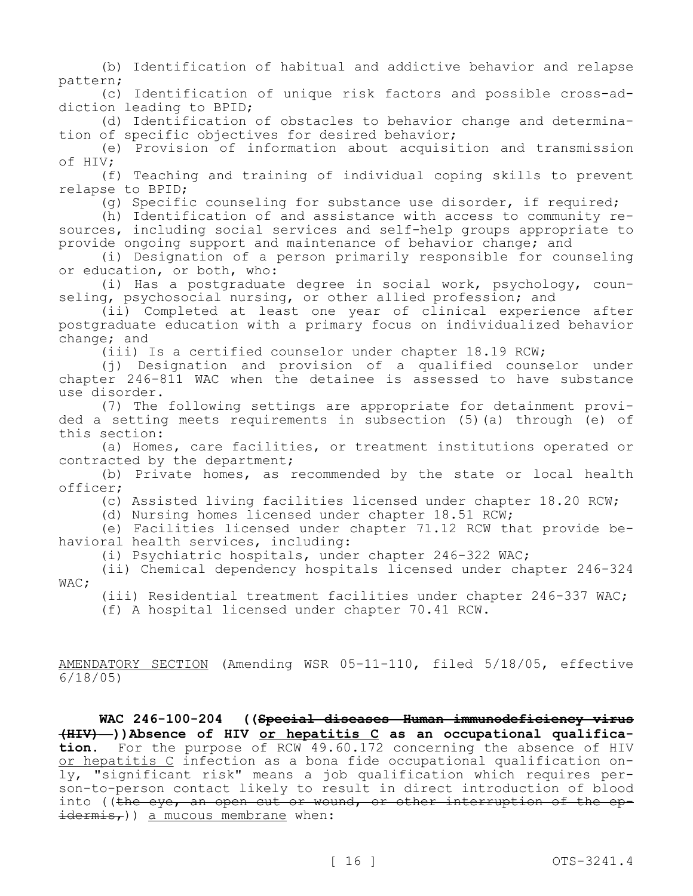(b) Identification of habitual and addictive behavior and relapse pattern;

(c) Identification of unique risk factors and possible cross-addiction leading to BPID;

(d) Identification of obstacles to behavior change and determination of specific objectives for desired behavior;

(e) Provision of information about acquisition and transmission of HIV;

(f) Teaching and training of individual coping skills to prevent relapse to BPID;

(g) Specific counseling for substance use disorder, if required;

(h) Identification of and assistance with access to community resources, including social services and self-help groups appropriate to provide ongoing support and maintenance of behavior change; and

(i) Designation of a person primarily responsible for counseling or education, or both, who:

(i) Has a postgraduate degree in social work, psychology, counseling, psychosocial nursing, or other allied profession; and

(ii) Completed at least one year of clinical experience after postgraduate education with a primary focus on individualized behavior change; and

(iii) Is a certified counselor under chapter 18.19 RCW;

(j) Designation and provision of a qualified counselor under chapter 246-811 WAC when the detainee is assessed to have substance use disorder.

(7) The following settings are appropriate for detainment provided a setting meets requirements in subsection (5)(a) through (e) of this section:

(a) Homes, care facilities, or treatment institutions operated or contracted by the department;

(b) Private homes, as recommended by the state or local health officer;

(c) Assisted living facilities licensed under chapter 18.20 RCW;

(d) Nursing homes licensed under chapter 18.51 RCW;

(e) Facilities licensed under chapter 71.12 RCW that provide behavioral health services, including:

(i) Psychiatric hospitals, under chapter 246-322 WAC;

(ii) Chemical dependency hospitals licensed under chapter 246-324 WAC;

(iii) Residential treatment facilities under chapter 246-337 WAC; (f) A hospital licensed under chapter 70.41 RCW.

AMENDATORY SECTION (Amending WSR 05-11-110, filed 5/18/05, effective

6/18/05)

**WAC 246-100-204 ((Special diseases—Human immunodeficiency virus (HIV)—))Absence of HIV or hepatitis C as an occupational qualification.** For the purpose of RCW 49.60.172 concerning the absence of HIV or hepatitis C infection as a bona fide occupational qualification only, "significant risk" means a job qualification which requires person-to-person contact likely to result in direct introduction of blood into ((the eye, an open cut or wound, or other interruption of the epidermis,)) a mucous membrane when: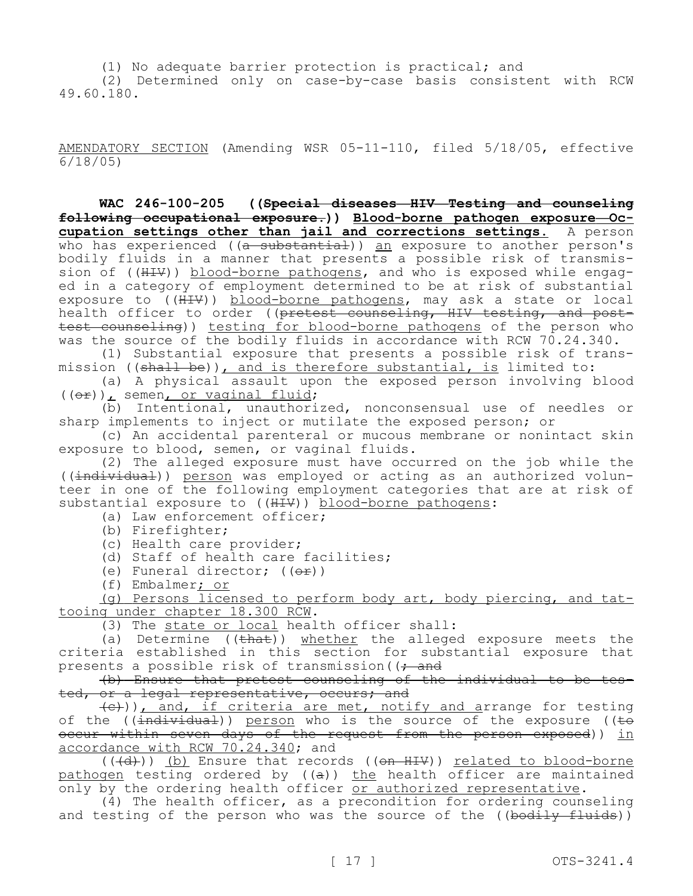(1) No adequate barrier protection is practical; and (2) Determined only on case-by-case basis consistent with RCW 49.60.180.

AMENDATORY SECTION (Amending WSR 05-11-110, filed 5/18/05, effective 6/18/05)

**WAC 246-100-205 ((Special diseases—HIV—Testing and counseling following occupational exposure.)) Blood-borne pathogen exposure—Occupation settings other than jail and corrections settings.** A person who has experienced ( $(a - subsetantial)$ ) an exposure to another person's bodily fluids in a manner that presents a possible risk of transmission of ((HIV)) blood-borne pathogens, and who is exposed while engaged in a category of employment determined to be at risk of substantial exposure to ((HIV)) blood-borne pathogens, may ask a state or local health officer to order ((pretest counseling, HIV testing, and posttest counseling)) testing for blood-borne pathogens of the person who was the source of the bodily fluids in accordance with RCW 70.24.340.

(1) Substantial exposure that presents a possible risk of transmission ((shall be)), and is therefore substantial, is limited to:

(a) A physical assault upon the exposed person involving blood ((or)), semen, or vaginal fluid;

(b) Intentional, unauthorized, nonconsensual use of needles or sharp implements to inject or mutilate the exposed person; or

(c) An accidental parenteral or mucous membrane or nonintact skin exposure to blood, semen, or vaginal fluids.

(2) The alleged exposure must have occurred on the job while the ((individual)) person was employed or acting as an authorized volunteer in one of the following employment categories that are at risk of substantial exposure to ((HIV)) blood-borne pathogens:

(a) Law enforcement officer;

(b) Firefighter;

(c) Health care provider;

(d) Staff of health care facilities;

(e) Funeral director;  $((\theta \hat{r}))$ 

(f) Embalmer; or

(g) Persons licensed to perform body art, body piercing, and tattooing under chapter 18.300 RCW.

(3) The state or local health officer shall:

(a) Determine  $((\text{that}))$  whether the alleged exposure meets the criteria established in this section for substantial exposure that presents a possible risk of transmission ( $\rightarrow$  and

(b) Ensure that pretest counseling of the individual to be tested, or a legal representative, occurs; and

 $\{\leftrightarrow\}$ )), and, if criteria are met, notify and arrange for testing of the (( $\frac{1}{1}ndividual$ )) person who is the source of the exposure (( $\pm\Theta$ occur within seven days of the request from the person exposed)) in accordance with RCW 70.24.340; and

(((d))) (b) Ensure that records ((on HIV)) related to blood-borne pathogen testing ordered by ((a)) the health officer are maintained only by the ordering health officer or authorized representative.

(4) The health officer, as a precondition for ordering counseling and testing of the person who was the source of the ((bodily fluids))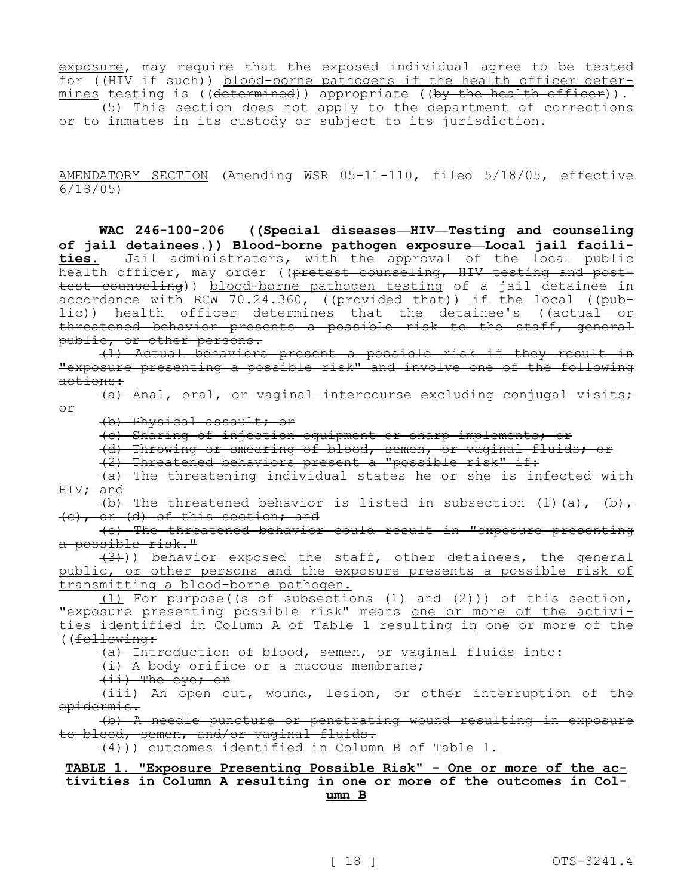exposure, may require that the exposed individual agree to be tested for ((HIV if such)) blood-borne pathogens if the health officer determines testing is (( $d$ etermined)) appropriate (( $by$  the health officer)). (5) This section does not apply to the department of corrections or to inmates in its custody or subject to its jurisdiction.

AMENDATORY SECTION (Amending WSR 05-11-110, filed 5/18/05, effective

6/18/05)

**WAC 246-100-206 ((Special diseases—HIV—Testing and counseling of jail detainees.)) Blood-borne pathogen exposure—Local jail facilities.** Jail administrators, with the approval of the local public health officer, may order ((pretest counseling, HIV testing and posttest counseling)) blood-borne pathogen testing of a jail detainee in accordance with RCW 70.24.360, (( $\beta$ rovided that)) if the local (( $\beta$ ub- $\pm i$ e)) health officer determines that the detainee's ((actual or threatened behavior presents a possible risk to the staff, general public, or other persons.

(1) Actual behaviors present a possible risk if they result in "exposure presenting a possible risk" and involve one of the following actions:

(a) Anal, oral, or vaginal intercourse excluding conjugal visits; or

(b) Physical assault; or

(c) Sharing of injection equipment or sharp implements; or

(d) Throwing or smearing of blood, semen, or vaginal fluids; or

(2) Threatened behaviors present a "possible risk" if:

(a) The threatening individual states he or she is infected with HIV; and

(b) The threatened behavior is listed in subsection  $(1)$   $(a)$ ,  $(b)$ , (c), or (d) of this section; and

(c) The threatened behavior could result in "exposure presenting a possible risk."

 $(3)$ )) behavior exposed the staff, other detainees, the general public, or other persons and the exposure presents a possible risk of transmitting a blood-borne pathogen.

 $(1)$  For purpose((s of subsections  $(1)$  and  $(2)$ )) of this section, "exposure presenting possible risk" means one or more of the activities identified in Column A of Table 1 resulting in one or more of the ((following:

(a) Introduction of blood, semen, or vaginal fluids into:

(i) A body orifice or a mucous membrane;

(ii) The eye; or

(iii) An open cut, wound, lesion, or other interruption of the epidermis.

(b) A needle puncture or penetrating wound resulting in exposure to blood, semen, and/or vaginal fluids.

 $(4)$ )) outcomes identified in Column B of Table 1.

### **TABLE 1. "Exposure Presenting Possible Risk" - One or more of the activities in Column A resulting in one or more of the outcomes in Column B**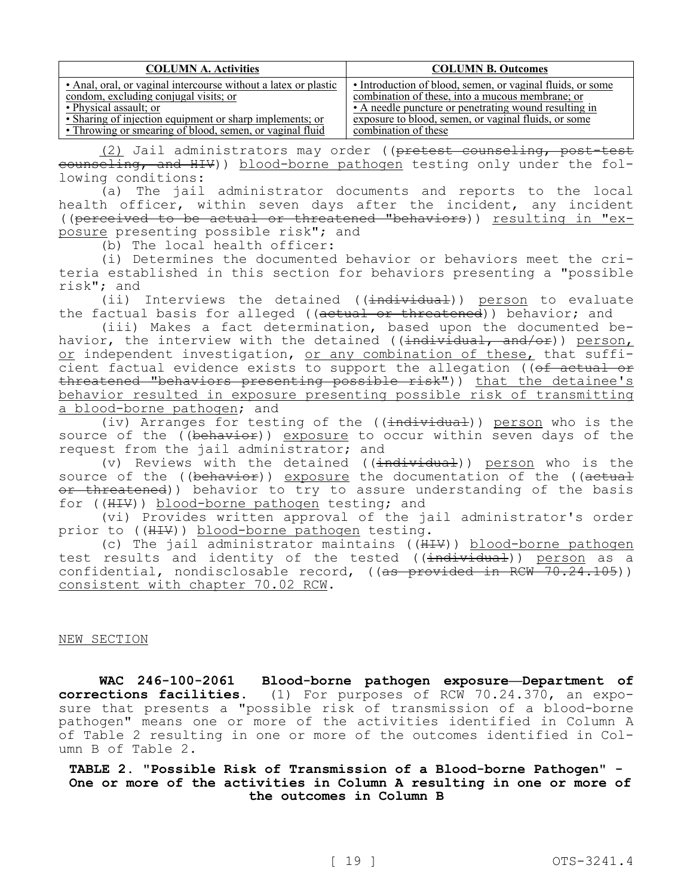| <b>COLUMN A. Activities</b>                                     | <b>COLUMN B. Outcomes</b>                                  |
|-----------------------------------------------------------------|------------------------------------------------------------|
| • Anal, oral, or vaginal intercourse without a latex or plastic | • Introduction of blood, semen, or vaginal fluids, or some |
| condom, excluding conjugal visits; or                           | combination of these, into a mucous membrane; or           |
| • Physical assault; or                                          | • A needle puncture or penetrating wound resulting in      |
| • Sharing of injection equipment or sharp implements; or        | exposure to blood, semen, or vaginal fluids, or some       |
| • Throwing or smearing of blood, semen, or vaginal fluid        | combination of these                                       |

(2) Jail administrators may order ((pretest counseling, post-test eounseling, and HIV)) blood-borne pathogen testing only under the following conditions:

(a) The jail administrator documents and reports to the local health officer, within seven days after the incident, any incident ((perceived to be actual or threatened "behaviors)) resulting in "exposure presenting possible risk"; and

(b) The local health officer:

(i) Determines the documented behavior or behaviors meet the criteria established in this section for behaviors presenting a "possible risk"; and

(ii) Interviews the detained ((individual)) person to evaluate the factual basis for alleged ((actual or threatened)) behavior; and

(iii) Makes a fact determination, based upon the documented behavior, the interview with the detained ((<del>individual, and/or</del>)) <u>person,</u> or independent investigation, or any combination of these, that sufficient factual evidence exists to support the allegation ((of actual or threatened "behaviors presenting possible risk")) that the detainee's behavior resulted in exposure presenting possible risk of transmitting a blood-borne pathogen; and

(iv) Arranges for testing of the ((individual)) person who is the source of the ((behavior)) exposure to occur within seven days of the request from the jail administrator; and

(v) Reviews with the detained ( $(\pm nd \pm \nu \pm d)$ ) person who is the source of the ((behavior)) exposure the documentation of the ((actual or threatened)) behavior to try to assure understanding of the basis for ((HIV)) blood-borne pathogen testing; and

(vi) Provides written approval of the jail administrator's order prior to ((HIV)) blood-borne pathogen testing.

(c) The jail administrator maintains ((HIV)) blood-borne pathogen test results and identity of the tested ((individual)) person as a confidential, nondisclosable record, ((as provided in RCW 70.24.105)) consistent with chapter 70.02 RCW.

### NEW SECTION

**WAC 246-100-2061 Blood-borne pathogen exposure—Department of corrections facilities.** (1) For purposes of RCW 70.24.370, an expo**corrections facilities.** (1) For purposes of RCW 70.24.370, an exposure that presents a "possible risk of transmission of a blood-borne pathogen" means one or more of the activities identified in Column A of Table 2 resulting in one or more of the outcomes identified in Column B of Table 2.

**TABLE 2. "Possible Risk of Transmission of a Blood-borne Pathogen" - One or more of the activities in Column A resulting in one or more of the outcomes in Column B**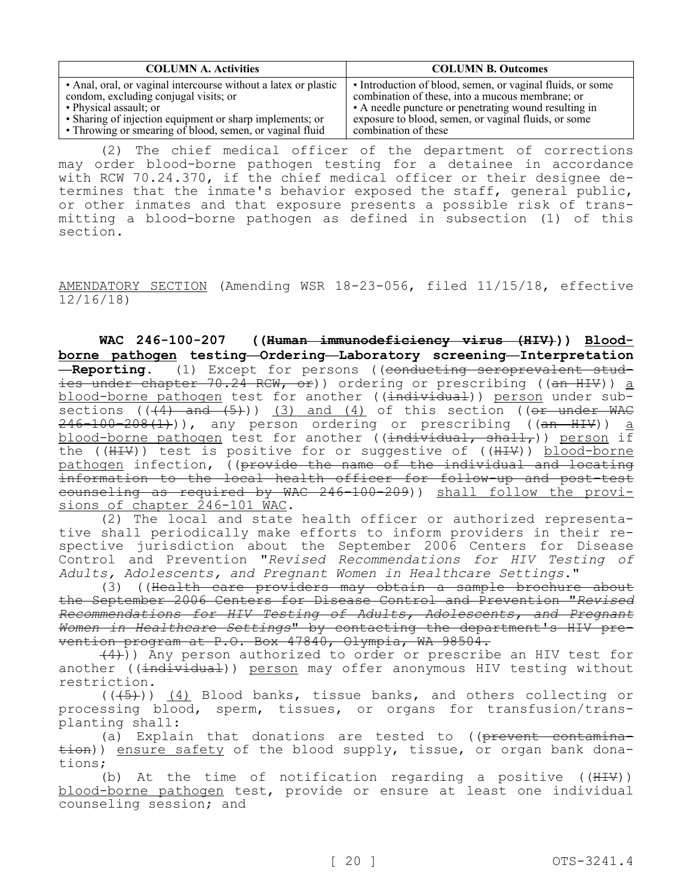| <b>COLUMN A. Activities</b>                                     | <b>COLUMN B. Outcomes</b>                                  |
|-----------------------------------------------------------------|------------------------------------------------------------|
| • Anal, oral, or vaginal intercourse without a latex or plastic | • Introduction of blood, semen, or vaginal fluids, or some |
| condom, excluding conjugal visits; or                           | combination of these, into a mucous membrane; or           |
| • Physical assault; or                                          | • A needle puncture or penetrating wound resulting in      |
| • Sharing of injection equipment or sharp implements; or        | exposure to blood, semen, or vaginal fluids, or some       |
| • Throwing or smearing of blood, semen, or vaginal fluid        | combination of these                                       |

(2) The chief medical officer of the department of corrections may order blood-borne pathogen testing for a detainee in accordance with RCW 70.24.370, if the chief medical officer or their designee determines that the inmate's behavior exposed the staff, general public, or other inmates and that exposure presents a possible risk of transmitting a blood-borne pathogen as defined in subsection (1) of this section.

AMENDATORY SECTION (Amending WSR 18-23-056, filed 11/15/18, effective 12/16/18)

**WAC 246-100-207 ((Human immunodeficiency virus (HIV))) Bloodborne pathogen testing—Ordering—Laboratory screening—Interpretation —Reporting.** (1) Except for persons ((conducting seroprevalent studies under chapter 70.24 RCW, or)) ordering or prescribing ((an HIV)) a blood-borne pathogen test for another ((individual)) person under subsections  $((4)$  and  $(5)$ )) (3) and (4) of this section ((or under WAC  $246-100-208(1)$ ), any person ordering or prescribing ((an HIV)) a blood-borne pathogen test for another (( $\frac{1}{100}$ ) shall,)) person if the ( $(HHV)$ ) test is positive for or suggestive of ( $(HHV)$ ) blood-borne pathogen infection, ((provide the name of the individual and locating information to the local health officer for follow-up and post-test counseling as required by WAC 246-100-209)) shall follow the provisions of chapter 246-101 WAC.

(2) The local and state health officer or authorized representative shall periodically make efforts to inform providers in their respective jurisdiction about the September 2006 Centers for Disease Control and Prevention "*Revised Recommendations for HIV Testing of Adults, Adolescents, and Pregnant Women in Healthcare Settings*."

(3) ((Health care providers may obtain a sample brochure about the September 2006 Centers for Disease Control and Prevention "*Revised Recommendations for HIV Testing of Adults, Adolescents, and Pregnant Women in Healthcare Settings*" by contacting the department's HIV prevention program at P.O. Box 47840, Olympia, WA 98504.

 $(4)$ )) Any person authorized to order or prescribe an HIV test for another ((individual)) person may offer anonymous HIV testing without restriction.

 $((+5))$  (4) Blood banks, tissue banks, and others collecting or processing blood, sperm, tissues, or organs for transfusion/transplanting shall:

(a) Explain that donations are tested to ((prevent contamina $t$ ion)) ensure safety of the blood supply, tissue, or organ bank donations;

(b) At the time of notification regarding a positive ((HIV)) blood-borne pathogen test, provide or ensure at least one individual counseling session; and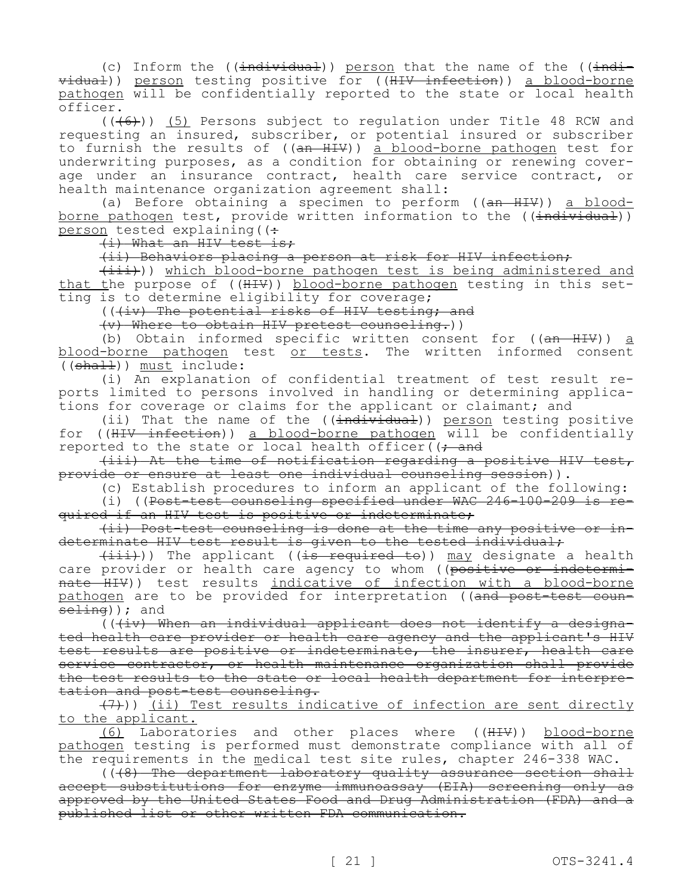(c) Inform the  $((\text{individual}))$  person that the name of the  $((\text{indi}$ vidual)) person testing positive for ((HIV infection)) a blood-borne pathogen will be confidentially reported to the state or local health officer.

 $((+6))$  (5) Persons subject to regulation under Title 48 RCW and requesting an insured, subscriber, or potential insured or subscriber to furnish the results of ((<del>an HIV</del>)) <u>a blood-borne pathogen</u> test for underwriting purposes, as a condition for obtaining or renewing coverage under an insurance contract, health care service contract, or health maintenance organization agreement shall:

(a) Before obtaining a specimen to perform ((an HIV)) a bloodborne pathogen test, provide written information to the ((individual)) person tested explaining  $($   $($   $\div$ 

(i) What an HIV test is;

(ii) Behaviors placing a person at risk for HIV infection;

 $(i$ iii))) which blood-borne pathogen test is being administered and that the purpose of  $((\text{HHV})$ ) blood-borne pathogen testing in this setting is to determine eligibility for coverage;

(((iv) The potential risks of HIV testing; and

(v) Where to obtain HIV pretest counseling.))

(b) Obtain informed specific written consent for  $((an H I V))$  a blood-borne pathogen test or tests. The written informed consent ((shall)) must include:

(i) An explanation of confidential treatment of test result reports limited to persons involved in handling or determining applications for coverage or claims for the applicant or claimant; and

(ii) That the name of the  $((\text{individual}))$  person testing positive for ((HIV infection)) a blood-borne pathogen will be confidentially reported to the state or local health officer( $($ ; and

(iii) At the time of notification regarding a positive HIV test, provide or ensure at least one individual counseling session)).

(c) Establish procedures to inform an applicant of the following:

(i) ((Post-test counseling specified under WAC 246-100-209 is required if an HIV test is positive or indeterminate;

(ii) Post-test counseling is done at the time any positive or indeterminate HIV test result is given to the tested individual;

 $(i$ iii))) The applicant ((is required to)) may designate a health care provider or health care agency to whom ( $\overline{(\text{positive or indetermin-}}$ nate HIV)) test results indicative of infection with a blood-borne pathogen are to be provided for interpretation ((and post-test coun $seting$ ) ; and

 $((+\pm v)$  When an individual applicant does not identify a designated health care provider or health care agency and the applicant's HIV test results are positive or indeterminate, the insurer, health care service contractor, or health maintenance organization shall provide the test results to the state or local health department for interpretation and post-test counseling.

(7))) (ii) Test results indicative of infection are sent directly to the applicant.

(6) Laboratories and other places where ((HIV)) blood-borne pathogen testing is performed must demonstrate compliance with all of the requirements in the medical test site rules, chapter 246-338 WAC.

 $(\overline{(\cdot\theta)}$  The department laboratory quality assurance section shall accept substitutions for enzyme immunoassay (EIA) screening only as approved by the United States Food and Drug Administration (FDA) and a published list or other written FDA communication.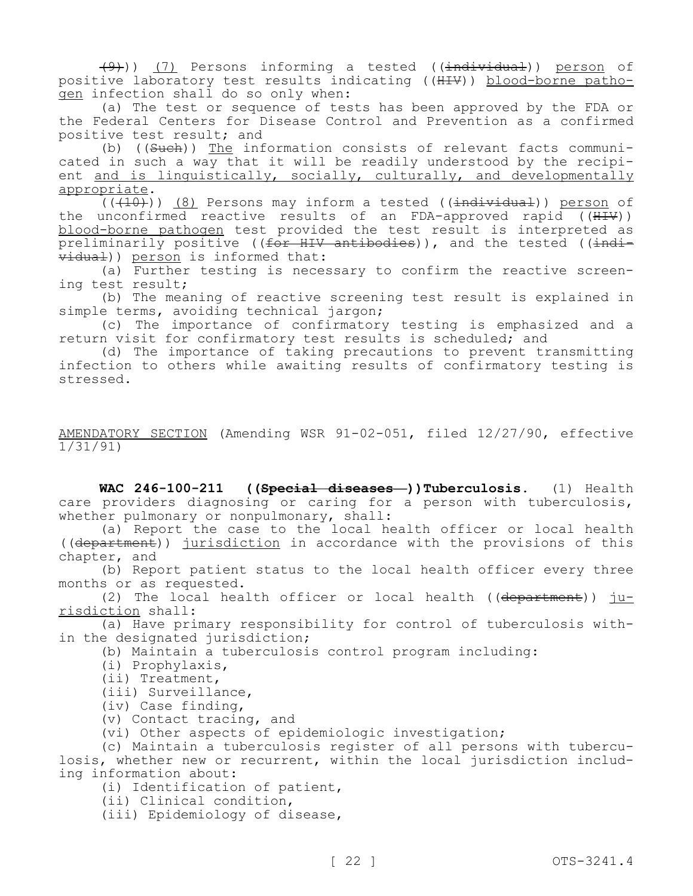(9))) (7) Persons informing a tested ((individual)) person of positive laboratory test results indicating ((HIV)) blood-borne pathogen infection shall do so only when:

(a) The test or sequence of tests has been approved by the FDA or the Federal Centers for Disease Control and Prevention as a confirmed positive test result; and

(b) ((Such)) The information consists of relevant facts communicated in such a way that it will be readily understood by the recipient and is linguistically, socially, culturally, and developmentally appropriate.

 $(1,10)$ ) (8) Persons may inform a tested ((individual)) person of the unconfirmed reactive results of an FDA-approved rapid ((HIV)) blood-borne pathogen test provided the test result is interpreted as preliminarily positive ((for HIV antibodies)), and the tested ((individual)) person is informed that:

(a) Further testing is necessary to confirm the reactive screening test result;

(b) The meaning of reactive screening test result is explained in simple terms, avoiding technical jargon;

(c) The importance of confirmatory testing is emphasized and a return visit for confirmatory test results is scheduled; and

(d) The importance of taking precautions to prevent transmitting infection to others while awaiting results of confirmatory testing is stressed.

AMENDATORY SECTION (Amending WSR 91-02-051, filed 12/27/90, effective 1/31/91)

**WAC 246-100-211 ((Special diseases—))Tuberculosis.** (1) Health care providers diagnosing or caring for a person with tuberculosis, whether pulmonary or nonpulmonary, shall:

(a) Report the case to the local health officer or local health ((department)) jurisdiction in accordance with the provisions of this chapter, and

(b) Report patient status to the local health officer every three months or as requested.

(2) The local health officer or local health (( $\frac{departner}{}$ ))  $\frac{ju-1}{u}$ risdiction shall:

(a) Have primary responsibility for control of tuberculosis within the designated jurisdiction;

(b) Maintain a tuberculosis control program including:

- (i) Prophylaxis,
- (ii) Treatment,
- (iii) Surveillance,
- (iv) Case finding,
- (v) Contact tracing, and

(vi) Other aspects of epidemiologic investigation;

(c) Maintain a tuberculosis register of all persons with tuberculosis, whether new or recurrent, within the local jurisdiction including information about:

(i) Identification of patient,

(ii) Clinical condition,

(iii) Epidemiology of disease,